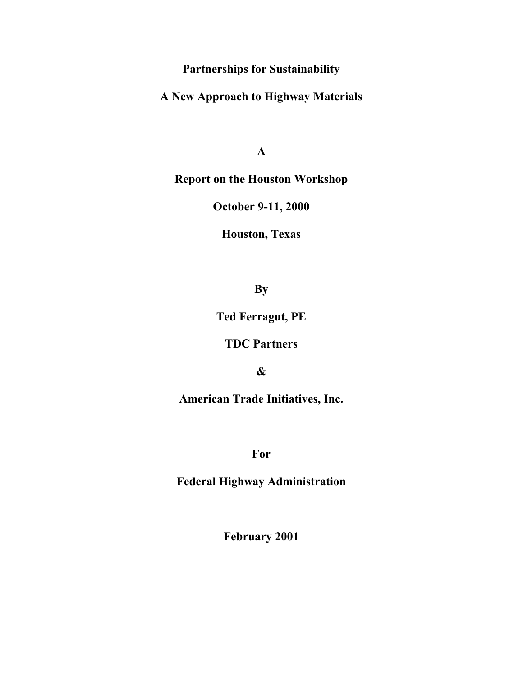**Partnerships for Sustainability** 

**A New Approach to Highway Materials** 

**A** 

**Report on the Houston Workshop** 

**October 9-11, 2000** 

**Houston, Texas** 

**By** 

**Ted Ferragut, PE** 

**TDC Partners** 

**&** 

**American Trade Initiatives, Inc.** 

**For** 

**Federal Highway Administration** 

**February 2001**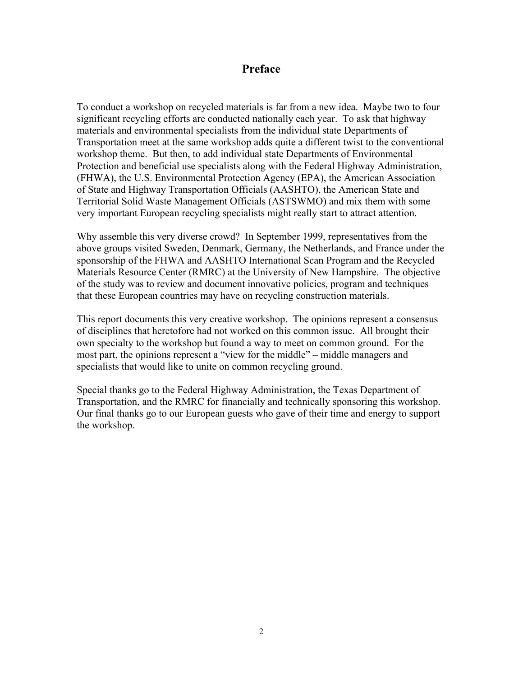# **Preface**

To conduct a workshop on recycled materials is far from a new idea. Maybe two to four significant recycling efforts are conducted nationally each year. To ask that highway materials and environmental specialists from the individual state Departments of Transportation meet at the same workshop adds quite a different twist to the conventional workshop theme. But then, to add individual state Departments of Environmental Protection and beneficial use specialists along with the Federal Highway Administration, (FHWA), the U.S. Environmental Protection Agency (EPA), the American Association of State and Highway Transportation Officials (AASHTO), the American State and Territorial Solid Waste Management Officials (ASTSWMO) and mix them with some very important European recycling specialists might really start to attract attention.

Why assemble this very diverse crowd? In September 1999, representatives from the above groups visited Sweden, Denmark, Germany, the Netherlands, and France under the sponsorship of the FHWA and AASHTO International Scan Program and the Recycled Materials Resource Center (RMRC) at the University of New Hampshire. The objective of the study was to review and document innovative policies, program and techniques that these European countries may have on recycling construction materials.

This report documents this very creative workshop. The opinions represent a consensus of disciplines that heretofore had not worked on this common issue. All brought their own specialty to the workshop but found a way to meet on common ground. For the most part, the opinions represent a "view for the middle" – middle managers and specialists that would like to unite on common recycling ground.

Special thanks go to the Federal Highway Administration, the Texas Department of Transportation, and the RMRC for financially and technically sponsoring this workshop. Our final thanks go to our European guests who gave of their time and energy to support the workshop.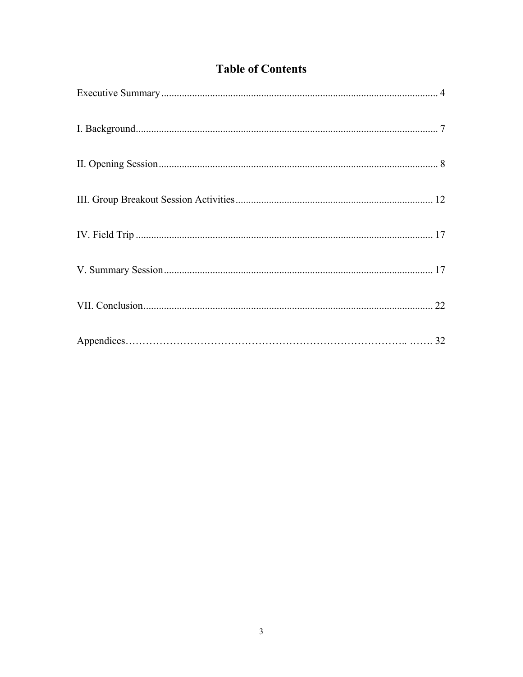# **Table of Contents**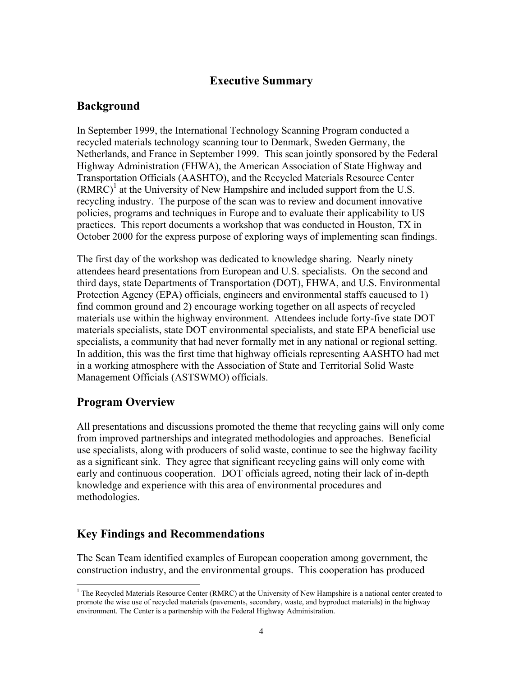# **Executive Summary**

# <span id="page-3-0"></span>**Background**

In September 1999, the International Technology Scanning Program conducted a recycled materials technology scanning tour to Denmark, Sweden Germany, the Netherlands, and France in September 1999. This scan jointly sponsored by the Federal Highway Administration (FHWA), the American Association of State Highway and Transportation Officials (AASHTO), and the Recycled Materials Resource Center  $(RMRC)^1$  at the University of New Hampshire and included support from the U.S. recycling industry. The purpose of the scan was to review and document innovative policies, programs and techniques in Europe and to evaluate their applicability to US practices. This report documents a workshop that was conducted in Houston, TX in October 2000 for the express purpose of exploring ways of implementing scan findings.

The first day of the workshop was dedicated to knowledge sharing. Nearly ninety attendees heard presentations from European and U.S. specialists. On the second and third days, state Departments of Transportation (DOT), FHWA, and U.S. Environmental Protection Agency (EPA) officials, engineers and environmental staffs caucused to 1) find common ground and 2) encourage working together on all aspects of recycled materials use within the highway environment. Attendees include forty-five state DOT materials specialists, state DOT environmental specialists, and state EPA beneficial use specialists, a community that had never formally met in any national or regional setting. In addition, this was the first time that highway officials representing AASHTO had met in a working atmosphere with the Association of State and Territorial Solid Waste Management Officials (ASTSWMO) officials.

# **Program Overview**

 $\overline{a}$ 

early and continuous cooperation. DOT officials agreed, noting their lack of in-depth All presentations and discussions promoted the theme that recycling gains will only come from improved partnerships and integrated methodologies and approaches. Beneficial use specialists, along with producers of solid waste, continue to see the highway facility as a significant sink. They agree that significant recycling gains will only come with knowledge and experience with this area of environmental procedures and methodologies.

# **Key Findings and Recommendations**

The Scan Team identified examples of European cooperation among government, the construction industry, and the environmental groups. This cooperation has produced

<sup>&</sup>lt;sup>1</sup> The Recycled Materials Resource Center (RMRC) at the University of New Hampshire is a national center created to promote the wise use of recycled materials (pavements, secondary, waste, and byproduct materials) in the highway environment. The Center is a partnership with the Federal Highway Administration.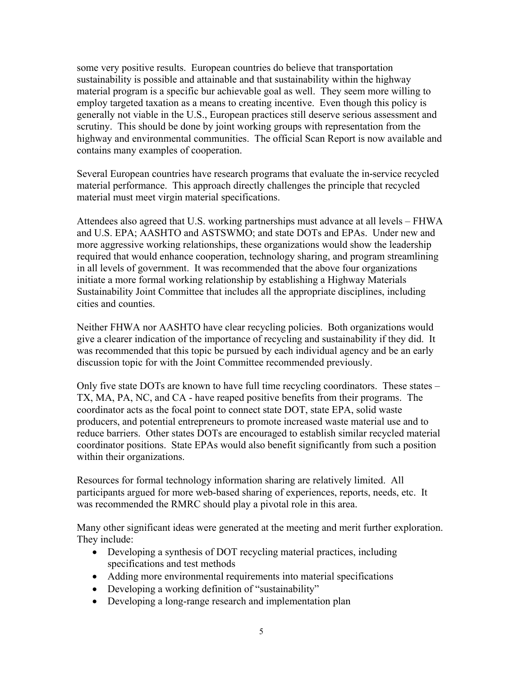some very positive results. European countries do believe that transportation sustainability is possible and attainable and that sustainability within the highway material program is a specific bur achievable goal as well. They seem more willing to employ targeted taxation as a means to creating incentive. Even though this policy is generally not viable in the U.S., European practices still deserve serious assessment and scrutiny. This should be done by joint working groups with representation from the highway and environmental communities. The official Scan Report is now available and contains many examples of cooperation.

Several European countries have research programs that evaluate the in-service recycled material performance. This approach directly challenges the principle that recycled material must meet virgin material specifications.

Attendees also agreed that U.S. working partnerships must advance at all levels – FHWA and U.S. EPA; AASHTO and ASTSWMO; and state DOTs and EPAs. Under new and more aggressive working relationships, these organizations would show the leadership required that would enhance cooperation, technology sharing, and program streamlining in all levels of government. It was recommended that the above four organizations initiate a more formal working relationship by establishing a Highway Materials Sustainability Joint Committee that includes all the appropriate disciplines, including cities and counties.

Neither FHWA nor AASHTO have clear recycling policies. Both organizations would give a clearer indication of the importance of recycling and sustainability if they did. It was recommended that this topic be pursued by each individual agency and be an early discussion topic for with the Joint Committee recommended previously.

Only five state DOTs are known to have full time recycling coordinators. These states – TX, MA, PA, NC, and CA - have reaped positive benefits from their programs. The coordinator acts as the focal point to connect state DOT, state EPA, solid waste producers, and potential entrepreneurs to promote increased waste material use and to reduce barriers. Other states DOTs are encouraged to establish similar recycled material coordinator positions. State EPAs would also benefit significantly from such a position within their organizations.

Resources for formal technology information sharing are relatively limited. All participants argued for more web-based sharing of experiences, reports, needs, etc. It was recommended the RMRC should play a pivotal role in this area.

Many other significant ideas were generated at the meeting and merit further exploration. They include:

- Developing a synthesis of DOT recycling material practices, including specifications and test methods
- Adding more environmental requirements into material specifications
- Developing a working definition of "sustainability"
- Developing a long-range research and implementation plan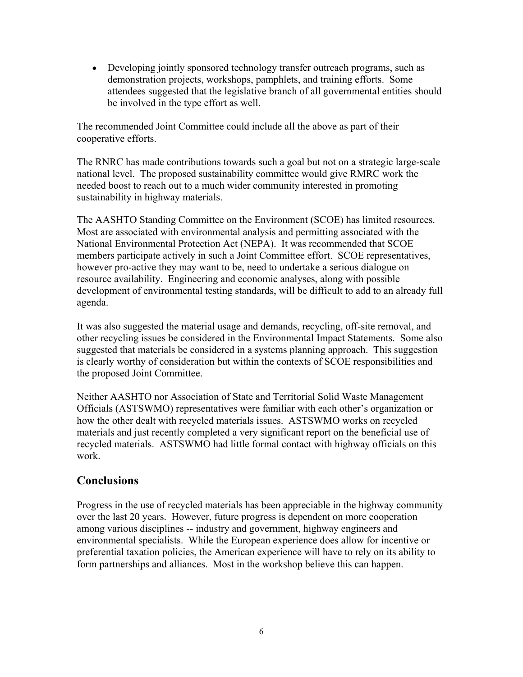• Developing jointly sponsored technology transfer outreach programs, such as demonstration projects, workshops, pamphlets, and training efforts. Some attendees suggested that the legislative branch of all governmental entities should be involved in the type effort as well.

The recommended Joint Committee could include all the above as part of their cooperative efforts.

The RNRC has made contributions towards such a goal but not on a strategic large-scale national level. The proposed sustainability committee would give RMRC work the needed boost to reach out to a much wider community interested in promoting sustainability in highway materials.

The AASHTO Standing Committee on the Environment (SCOE) has limited resources. Most are associated with environmental analysis and permitting associated with the National Environmental Protection Act (NEPA). It was recommended that SCOE members participate actively in such a Joint Committee effort. SCOE representatives, however pro-active they may want to be, need to undertake a serious dialogue on resource availability. Engineering and economic analyses, along with possible development of environmental testing standards, will be difficult to add to an already full agenda.

It was also suggested the material usage and demands, recycling, off-site removal, and other recycling issues be considered in the Environmental Impact Statements. Some also suggested that materials be considered in a systems planning approach. This suggestion is clearly worthy of consideration but within the contexts of SCOE responsibilities and the proposed Joint Committee.

Neither AASHTO nor Association of State and Territorial Solid Waste Management Officials (ASTSWMO) representatives were familiar with each other's organization or how the other dealt with recycled materials issues. ASTSWMO works on recycled materials and just recently completed a very significant report on the beneficial use of recycled materials. ASTSWMO had little formal contact with highway officials on this work.

# **Conclusions**

Progress in the use of recycled materials has been appreciable in the highway community over the last 20 years. However, future progress is dependent on more cooperation among various disciplines -- industry and government, highway engineers and environmental specialists. While the European experience does allow for incentive or preferential taxation policies, the American experience will have to rely on its ability to form partnerships and alliances. Most in the workshop believe this can happen.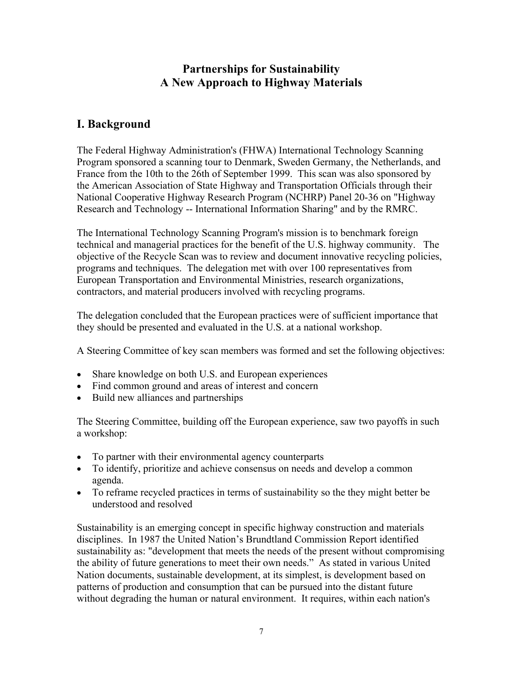# **Partnerships for Sustainability A New Approach to Highway Materials**

# <span id="page-6-0"></span>**I. Background**

The Federal Highway Administration's (FHWA) International Technology Scanning Program sponsored a scanning tour to Denmark, Sweden Germany, the Netherlands, and France from the 10th to the 26th of September 1999. This scan was also sponsored by the American Association of State Highway and Transportation Officials through their National Cooperative Highway Research Program (NCHRP) Panel 20-36 on "Highway Research and Technology -- International Information Sharing" and by the RMRC.

The International Technology Scanning Program's mission is to benchmark foreign technical and managerial practices for the benefit of the U.S. highway community. The objective of the Recycle Scan was to review and document innovative recycling policies, programs and techniques. The delegation met with over 100 representatives from European Transportation and Environmental Ministries, research organizations, contractors, and material producers involved with recycling programs.

The delegation concluded that the European practices were of sufficient importance that they should be presented and evaluated in the U.S. at a national workshop.

A Steering Committee of key scan members was formed and set the following objectives:

- Share knowledge on both U.S. and European experiences
- Find common ground and areas of interest and concern
- Build new alliances and partnerships

The Steering Committee, building off the European experience, saw two payoffs in such a workshop:

- To partner with their environmental agency counterparts
- To identify, prioritize and achieve consensus on needs and develop a common agenda.
- To reframe recycled practices in terms of sustainability so the they might better be understood and resolved

Sustainability is an emerging concept in specific highway construction and materials disciplines. In 1987 the United Nation's Brundtland Commission Report identified sustainability as: "development that meets the needs of the present without compromising the ability of future generations to meet their own needs." As stated in various United Nation documents, sustainable development, at its simplest, is development based on patterns of production and consumption that can be pursued into the distant future without degrading the human or natural environment. It requires, within each nation's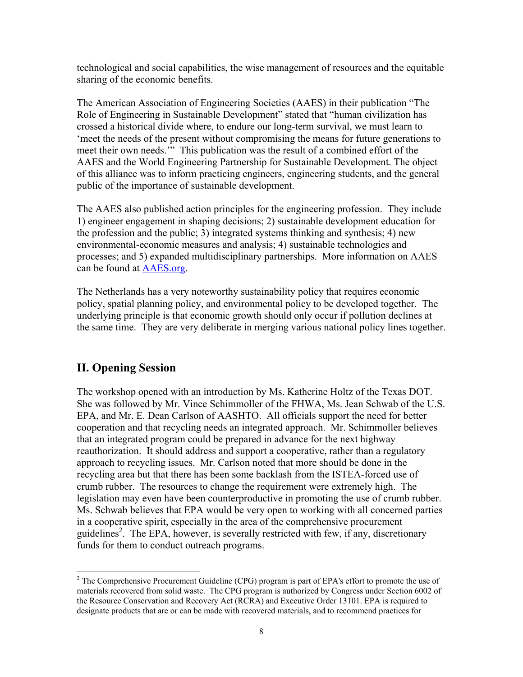<span id="page-7-0"></span>technological and social capabilities, the wise management of resources and the equitable sharing of the economic benefits.

The American Association of Engineering Societies (AAES) in their publication "The Role of Engineering in Sustainable Development" stated that "human civilization has crossed a historical divide where, to endure our long-term survival, we must learn to 'meet the needs of the present without compromising the means for future generations to meet their own needs.'" This publication was the result of a combined effort of the AAES and the World Engineering Partnership for Sustainable Development. The object of this alliance was to inform practicing engineers, engineering students, and the general public of the importance of sustainable development.

The AAES also published action principles for the engineering profession. They include 1) engineer engagement in shaping decisions; 2) sustainable development education for the profession and the public; 3) integrated systems thinking and synthesis; 4) new environmental-economic measures and analysis; 4) sustainable technologies and processes; and 5) expanded multidisciplinary partnerships. More information on AAES can be found at AAES.org.

The Netherlands has a very noteworthy sustainability policy that requires economic policy, spatial planning policy, and environmental policy to be developed together. The underlying principle is that economic growth should only occur if pollution declines at the same time. They are very deliberate in merging various national policy lines together.

# **II. Opening Session**

 $\overline{a}$ 

The workshop opened with an introduction by Ms. Katherine Holtz of the Texas DOT. She was followed by Mr. Vince Schimmoller of the FHWA, Ms. Jean Schwab of the U.S. EPA, and Mr. E. Dean Carlson of AASHTO. All officials support the need for better cooperation and that recycling needs an integrated approach. Mr. Schimmoller believes that an integrated program could be prepared in advance for the next highway reauthorization. It should address and support a cooperative, rather than a regulatory approach to recycling issues. Mr. Carlson noted that more should be done in the recycling area but that there has been some backlash from the ISTEA-forced use of crumb rubber. The resources to change the requirement were extremely high. The legislation may even have been counterproductive in promoting the use of crumb rubber. Ms. Schwab believes that EPA would be very open to working with all concerned parties in a cooperative spirit, especially in the area of the comprehensive procurement guidelines<sup>2</sup>. The EPA, however, is severally restricted with few, if any, discretionary funds for them to conduct outreach programs.

 materials recovered from solid waste. The CPG program is authorized by Congress under Section 6002 of  $2^2$  The Comprehensive Procurement Guideline (CPG) program is part of EPA's effort to promote the use of the Resource Conservation and Recovery Act (RCRA) and Executive Order 13101. EPA is required to designate products that are or can be made with recovered materials, and to recommend practices for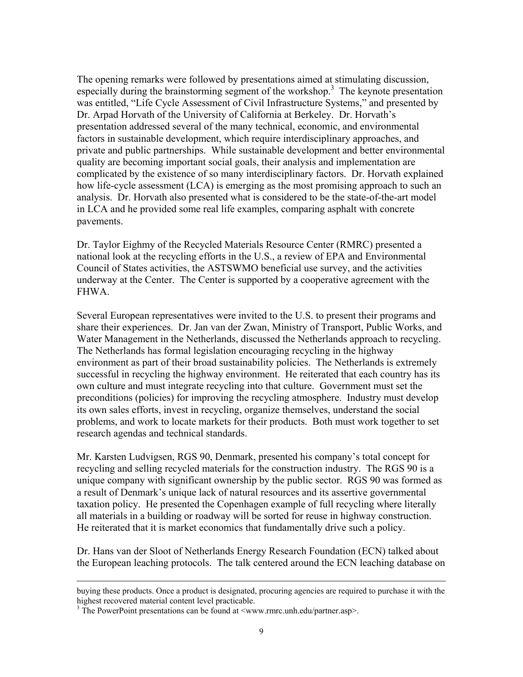The opening remarks were followed by presentations aimed at stimulating discussion, especially during the brainstorming segment of the workshop.<sup>3</sup> The keynote presentation was entitled, "Life Cycle Assessment of Civil Infrastructure Systems," and presented by Dr. Arpad Horvath of the University of California at Berkeley. Dr. Horvath's presentation addressed several of the many technical, economic, and environmental factors in sustainable development, which require interdisciplinary approaches, and private and public partnerships. While sustainable development and better environmental quality are becoming important social goals, their analysis and implementation are complicated by the existence of so many interdisciplinary factors. Dr. Horvath explained how life-cycle assessment (LCA) is emerging as the most promising approach to such an analysis. Dr. Horvath also presented what is considered to be the state-of-the-art model in LCA and he provided some real life examples, comparing asphalt with concrete pavements.

Dr. Taylor Eighmy of the Recycled Materials Resource Center (RMRC) presented a national look at the recycling efforts in the U.S., a review of EPA and Environmental Council of States activities, the ASTSWMO beneficial use survey, and the activities underway at the Center. The Center is supported by a cooperative agreement with the FHWA.

Several European representatives were invited to the U.S. to present their programs and share their experiences. Dr. Jan van der Zwan, Ministry of Transport, Public Works, and Water Management in the Netherlands, discussed the Netherlands approach to recycling. The Netherlands has formal legislation encouraging recycling in the highway environment as part of their broad sustainability policies. The Netherlands is extremely successful in recycling the highway environment. He reiterated that each country has its own culture and must integrate recycling into that culture. Government must set the preconditions (policies) for improving the recycling atmosphere. Industry must develop its own sales efforts, invest in recycling, organize themselves, understand the social problems, and work to locate markets for their products. Both must work together to set research agendas and technical standards.

 all materials in a building or roadway will be sorted for reuse in highway construction. He reiterated that it is market economics that fundamentally drive such a policy. Mr. Karsten Ludvigsen, RGS 90, Denmark, presented his company's total concept for recycling and selling recycled materials for the construction industry. The RGS 90 is a unique company with significant ownership by the public sector. RGS 90 was formed as a result of Denmark's unique lack of natural resources and its assertive governmental taxation policy. He presented the Copenhagen example of full recycling where literally

Dr. Hans van der Sloot of Netherlands Energy Research Foundation (ECN) talked about the European leaching protocols. The talk centered around the ECN leaching database on

 $\overline{a}$ 

buying these products. Once a product is designated, procuring agencies are required to purchase it with the highest recovered material content level practicable.

 $3$  The PowerPoint presentations can be found at  $\langle$ www.rmrc.unh.edu/partner.asp>.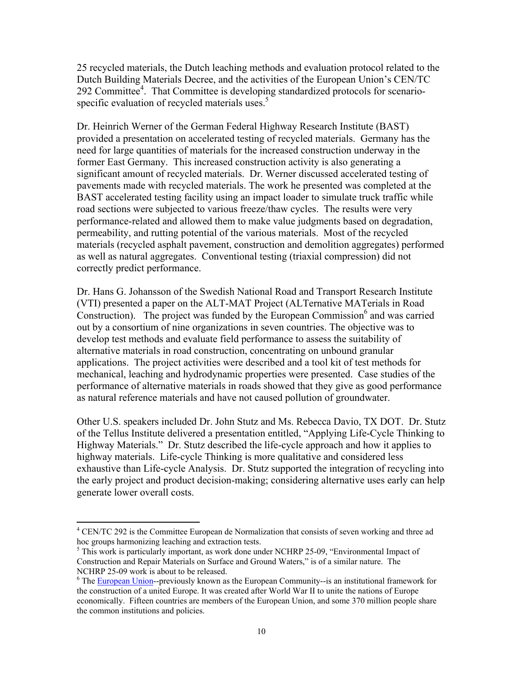25 recycled materials, the Dutch leaching methods and evaluation protocol related to the Dutch Building Materials Decree, and the activities of the European Union's CEN/TC 292 Committee<sup>4</sup>. That Committee is developing standardized protocols for scenariospecific evaluation of recycled materials uses.<sup>5</sup>

Dr. Heinrich Werner of the German Federal Highway Research Institute (BAST) provided a presentation on accelerated testing of recycled materials. Germany has the need for large quantities of materials for the increased construction underway in the former East Germany. This increased construction activity is also generating a significant amount of recycled materials. Dr. Werner discussed accelerated testing of pavements made with recycled materials. The work he presented was completed at the BAST accelerated testing facility using an impact loader to simulate truck traffic while road sections were subjected to various freeze/thaw cycles. The results were very performance-related and allowed them to make value judgments based on degradation, permeability, and rutting potential of the various materials. Most of the recycled materials (recycled asphalt pavement, construction and demolition aggregates) performed as well as natural aggregates. Conventional testing (triaxial compression) did not correctly predict performance.

Dr. Hans G. Johansson of the Swedish National Road and Transport Research Institute (VTI) presented a paper on the ALT-MAT Project (ALTernative MATerials in Road Construction). The project was funded by the European Commission $<sup>6</sup>$  and was carried</sup> out by a consortium of nine organizations in seven countries. The objective was to develop test methods and evaluate field performance to assess the suitability of alternative materials in road construction, concentrating on unbound granular applications. The project activities were described and a tool kit of test methods for mechanical, leaching and hydrodynamic properties were presented. Case studies of the performance of alternative materials in roads showed that they give as good performance as natural reference materials and have not caused pollution of groundwater.

Other U.S. speakers included Dr. John Stutz and Ms. Rebecca Davio, TX DOT. Dr. Stutz of the Tellus Institute delivered a presentation entitled, "Applying Life-Cycle Thinking to Highway Materials." Dr. Stutz described the life-cycle approach and how it applies to highway materials. Life-cycle Thinking is more qualitative and considered less exhaustive than Life-cycle Analysis. Dr. Stutz supported the integration of recycling into the early project and product decision-making; considering alternative uses early can help generate lower overall costs.

 $\overline{a}$ 

<sup>&</sup>lt;sup>4</sup> CEN/TC 292 is the Committee European de Normalization that consists of seven working and three ad hoc groups harmonizing leaching and extraction tests.

 $<sup>5</sup>$  This work is particularly important, as work done under NCHRP 25-09, "Environmental Impact of</sup> Construction and Repair Materials on Surface and Ground Waters," is of a similar nature. The NCHRP 25-09 work is about to be released.

<sup>&</sup>lt;sup>6</sup> The European Union--previously known as the European Community--is an institutional framework for the construction of a united Europe. It was created after World War II to unite the nations of Europe economically. Fifteen countries are members of the European Union, and some 370 million people share the common institutions and policies.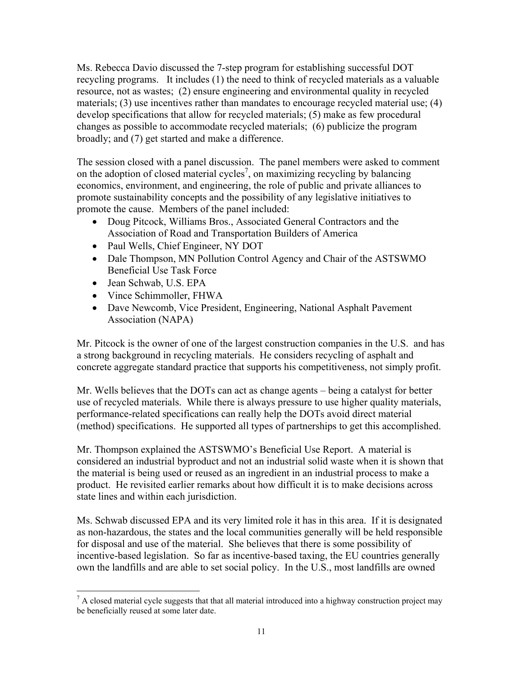Ms. Rebecca Davio discussed the 7-step program for establishing successful DOT recycling programs. It includes (1) the need to think of recycled materials as a valuable resource, not as wastes; (2) ensure engineering and environmental quality in recycled materials; (3) use incentives rather than mandates to encourage recycled material use; (4) develop specifications that allow for recycled materials; (5) make as few procedural changes as possible to accommodate recycled materials; (6) publicize the program broadly; and (7) get started and make a difference.

The session closed with a panel discussion. The panel members were asked to comment on the adoption of closed material cycles<sup>7</sup>, on maximizing recycling by balancing economics, environment, and engineering, the role of public and private alliances to promote sustainability concepts and the possibility of any legislative initiatives to promote the cause. Members of the panel included:

- Doug Pitcock, Williams Bros., Associated General Contractors and the Association of Road and Transportation Builders of America
- Paul Wells, Chief Engineer, NY DOT
- Dale Thompson, MN Pollution Control Agency and Chair of the ASTSWMO Beneficial Use Task Force
- Jean Schwab, U.S. EPA

 $\overline{a}$ 

- Vince Schimmoller, FHWA
- Dave Newcomb, Vice President, Engineering, National Asphalt Pavement Association (NAPA)

Mr. Pitcock is the owner of one of the largest construction companies in the U.S. and has a strong background in recycling materials. He considers recycling of asphalt and concrete aggregate standard practice that supports his competitiveness, not simply profit.

Mr. Wells believes that the DOTs can act as change agents – being a catalyst for better use of recycled materials. While there is always pressure to use higher quality materials, performance-related specifications can really help the DOTs avoid direct material (method) specifications. He supported all types of partnerships to get this accomplished.

Mr. Thompson explained the ASTSWMO's Beneficial Use Report. A material is considered an industrial byproduct and not an industrial solid waste when it is shown that the material is being used or reused as an ingredient in an industrial process to make a product. He revisited earlier remarks about how difficult it is to make decisions across state lines and within each jurisdiction.

Ms. Schwab discussed EPA and its very limited role it has in this area. If it is designated as non-hazardous, the states and the local communities generally will be held responsible for disposal and use of the material. She believes that there is some possibility of incentive-based legislation. So far as incentive-based taxing, the EU countries generally own the landfills and are able to set social policy. In the U.S., most landfills are owned

be beneficially reused at some later date.<br>11  $<sup>7</sup>$  A closed material cycle suggests that that all material introduced into a highway construction project may</sup>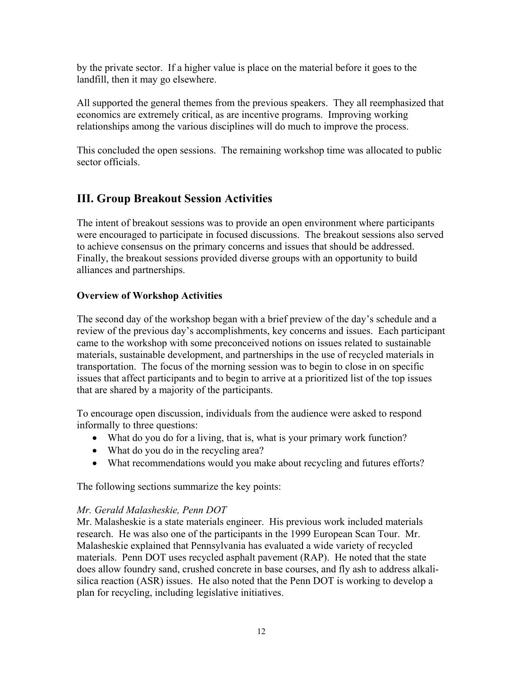<span id="page-11-0"></span>by the private sector. If a higher value is place on the material before it goes to the landfill, then it may go elsewhere.

All supported the general themes from the previous speakers. They all reemphasized that economics are extremely critical, as are incentive programs. Improving working relationships among the various disciplines will do much to improve the process.

This concluded the open sessions. The remaining workshop time was allocated to public sector officials.

# **III. Group Breakout Session Activities**

The intent of breakout sessions was to provide an open environment where participants were encouraged to participate in focused discussions. The breakout sessions also served to achieve consensus on the primary concerns and issues that should be addressed. Finally, the breakout sessions provided diverse groups with an opportunity to build alliances and partnerships.

# **Overview of Workshop Activities**

The second day of the workshop began with a brief preview of the day's schedule and a review of the previous day's accomplishments, key concerns and issues. Each participant came to the workshop with some preconceived notions on issues related to sustainable materials, sustainable development, and partnerships in the use of recycled materials in transportation. The focus of the morning session was to begin to close in on specific issues that affect participants and to begin to arrive at a prioritized list of the top issues that are shared by a majority of the participants.

To encourage open discussion, individuals from the audience were asked to respond informally to three questions:

- What do you do for a living, that is, what is your primary work function?
- What do you do in the recycling area?
- What recommendations would you make about recycling and futures efforts?

The following sections summarize the key points:

# *Mr. Gerald Malasheskie, Penn DOT*

Mr. Malasheskie is a state materials engineer. His previous work included materials research. He was also one of the participants in the 1999 European Scan Tour. Mr. Malasheskie explained that Pennsylvania has evaluated a wide variety of recycled materials. Penn DOT uses recycled asphalt pavement (RAP). He noted that the state does allow foundry sand, crushed concrete in base courses, and fly ash to address alkalisilica reaction (ASR) issues. He also noted that the Penn DOT is working to develop a plan for recycling, including legislative initiatives.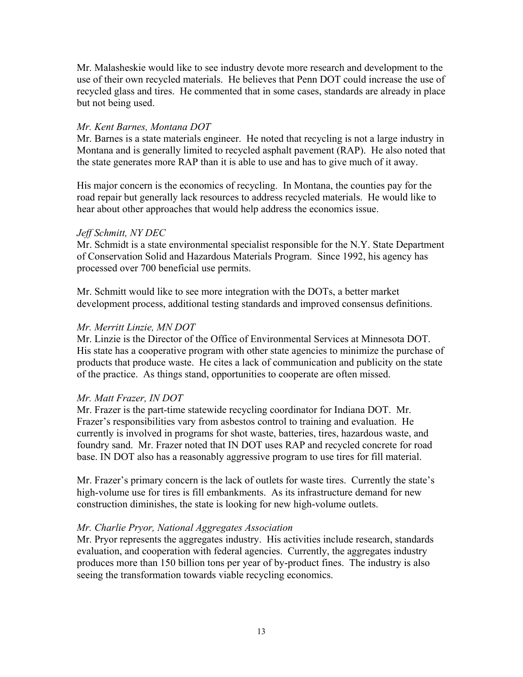Mr. Malasheskie would like to see industry devote more research and development to the use of their own recycled materials. He believes that Penn DOT could increase the use of recycled glass and tires. He commented that in some cases, standards are already in place but not being used.

## *Mr. Kent Barnes, Montana DOT*

Mr. Barnes is a state materials engineer. He noted that recycling is not a large industry in Montana and is generally limited to recycled asphalt pavement (RAP). He also noted that the state generates more RAP than it is able to use and has to give much of it away.

His major concern is the economics of recycling. In Montana, the counties pay for the road repair but generally lack resources to address recycled materials. He would like to hear about other approaches that would help address the economics issue.

## *Jeff Schmitt, NY DEC*

Mr. Schmidt is a state environmental specialist responsible for the N.Y. State Department of Conservation Solid and Hazardous Materials Program. Since 1992, his agency has processed over 700 beneficial use permits.

Mr. Schmitt would like to see more integration with the DOTs, a better market development process, additional testing standards and improved consensus definitions.

## *Mr. Merritt Linzie, MN DOT*

Mr. Linzie is the Director of the Office of Environmental Services at Minnesota DOT. His state has a cooperative program with other state agencies to minimize the purchase of products that produce waste. He cites a lack of communication and publicity on the state of the practice. As things stand, opportunities to cooperate are often missed.

### *Mr. Matt Frazer, IN DOT*

Mr. Frazer is the part-time statewide recycling coordinator for Indiana DOT. Mr. Frazer's responsibilities vary from asbestos control to training and evaluation. He currently is involved in programs for shot waste, batteries, tires, hazardous waste, and foundry sand. Mr. Frazer noted that IN DOT uses RAP and recycled concrete for road base. IN DOT also has a reasonably aggressive program to use tires for fill material.

Mr. Frazer's primary concern is the lack of outlets for waste tires. Currently the state's high-volume use for tires is fill embankments. As its infrastructure demand for new construction diminishes, the state is looking for new high-volume outlets.

### *Mr. Charlie Pryor, National Aggregates Association*

evaluation, and cooperation with federal agencies. Currently, the aggregates industry Mr. Pryor represents the aggregates industry. His activities include research, standards produces more than 150 billion tons per year of by-product fines. The industry is also seeing the transformation towards viable recycling economics.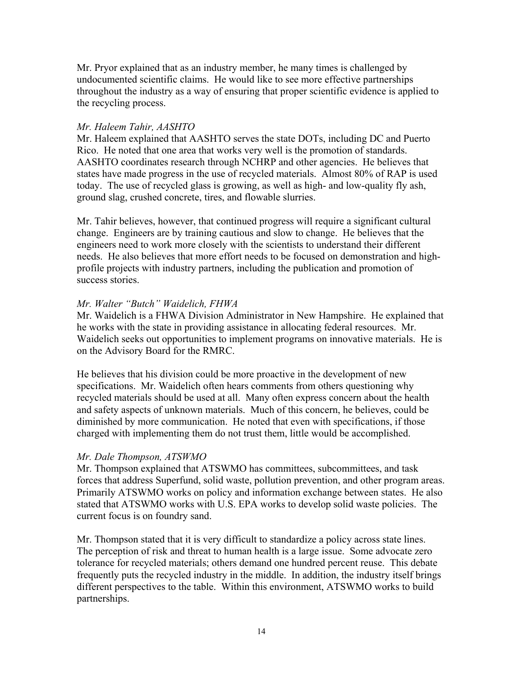Mr. Pryor explained that as an industry member, he many times is challenged by undocumented scientific claims. He would like to see more effective partnerships throughout the industry as a way of ensuring that proper scientific evidence is applied to the recycling process.

## *Mr. Haleem Tahir, AASHTO*

Mr. Haleem explained that AASHTO serves the state DOTs, including DC and Puerto Rico. He noted that one area that works very well is the promotion of standards. AASHTO coordinates research through NCHRP and other agencies. He believes that states have made progress in the use of recycled materials. Almost 80% of RAP is used today. The use of recycled glass is growing, as well as high- and low-quality fly ash, ground slag, crushed concrete, tires, and flowable slurries.

Mr. Tahir believes, however, that continued progress will require a significant cultural change. Engineers are by training cautious and slow to change. He believes that the engineers need to work more closely with the scientists to understand their different needs. He also believes that more effort needs to be focused on demonstration and highprofile projects with industry partners, including the publication and promotion of success stories.

## *Mr. Walter "Butch" Waidelich, FHWA*

Mr. Waidelich is a FHWA Division Administrator in New Hampshire. He explained that he works with the state in providing assistance in allocating federal resources. Mr. Waidelich seeks out opportunities to implement programs on innovative materials. He is on the Advisory Board for the RMRC.

He believes that his division could be more proactive in the development of new specifications. Mr. Waidelich often hears comments from others questioning why recycled materials should be used at all. Many often express concern about the health and safety aspects of unknown materials. Much of this concern, he believes, could be diminished by more communication. He noted that even with specifications, if those charged with implementing them do not trust them, little would be accomplished.

### *Mr. Dale Thompson, ATSWMO*

Mr. Thompson explained that ATSWMO has committees, subcommittees, and task forces that address Superfund, solid waste, pollution prevention, and other program areas. Primarily ATSWMO works on policy and information exchange between states. He also stated that ATSWMO works with U.S. EPA works to develop solid waste policies. The current focus is on foundry sand.

Mr. Thompson stated that it is very difficult to standardize a policy across state lines. The perception of risk and threat to human health is a large issue. Some advocate zero tolerance for recycled materials; others demand one hundred percent reuse. This debate frequently puts the recycled industry in the middle. In addition, the industry itself brings different perspectives to the table. Within this environment, ATSWMO works to build partnerships.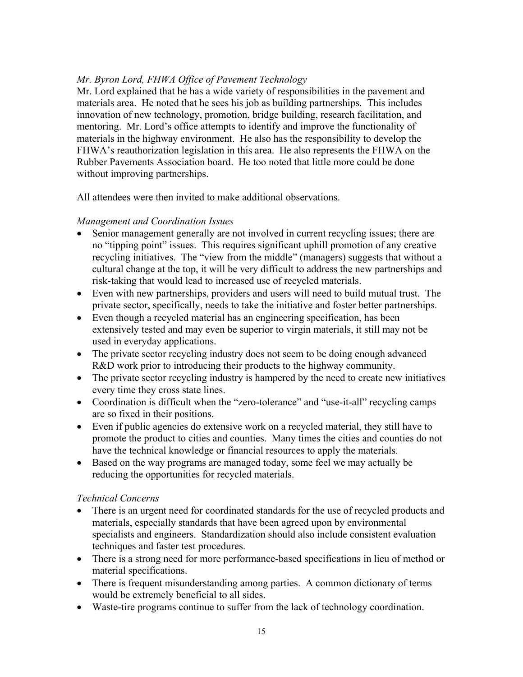# *Mr. Byron Lord, FHWA Office of Pavement Technology*

Mr. Lord explained that he has a wide variety of responsibilities in the pavement and materials area. He noted that he sees his job as building partnerships. This includes innovation of new technology, promotion, bridge building, research facilitation, and mentoring. Mr. Lord's office attempts to identify and improve the functionality of materials in the highway environment. He also has the responsibility to develop the FHWA's reauthorization legislation in this area. He also represents the FHWA on the Rubber Pavements Association board. He too noted that little more could be done without improving partnerships.

All attendees were then invited to make additional observations.

# *Management and Coordination Issues*

- Senior management generally are not involved in current recycling issues; there are no "tipping point" issues. This requires significant uphill promotion of any creative recycling initiatives. The "view from the middle" (managers) suggests that without a cultural change at the top, it will be very difficult to address the new partnerships and risk-taking that would lead to increased use of recycled materials.
- Even with new partnerships, providers and users will need to build mutual trust. The private sector, specifically, needs to take the initiative and foster better partnerships.
- Even though a recycled material has an engineering specification, has been extensively tested and may even be superior to virgin materials, it still may not be used in everyday applications.
- The private sector recycling industry does not seem to be doing enough advanced R&D work prior to introducing their products to the highway community.
- The private sector recycling industry is hampered by the need to create new initiatives every time they cross state lines.
- Coordination is difficult when the "zero-tolerance" and "use-it-all" recycling camps are so fixed in their positions.
- Even if public agencies do extensive work on a recycled material, they still have to promote the product to cities and counties. Many times the cities and counties do not have the technical knowledge or financial resources to apply the materials.
- Based on the way programs are managed today, some feel we may actually be reducing the opportunities for recycled materials.

# *Technical Concerns*

- There is an urgent need for coordinated standards for the use of recycled products and materials, especially standards that have been agreed upon by environmental specialists and engineers. Standardization should also include consistent evaluation techniques and faster test procedures.
- There is a strong need for more performance-based specifications in lieu of method or material specifications.
- There is frequent misunderstanding among parties. A common dictionary of terms would be extremely beneficial to all sides.
- Waste-tire programs continue to suffer from the lack of technology coordination.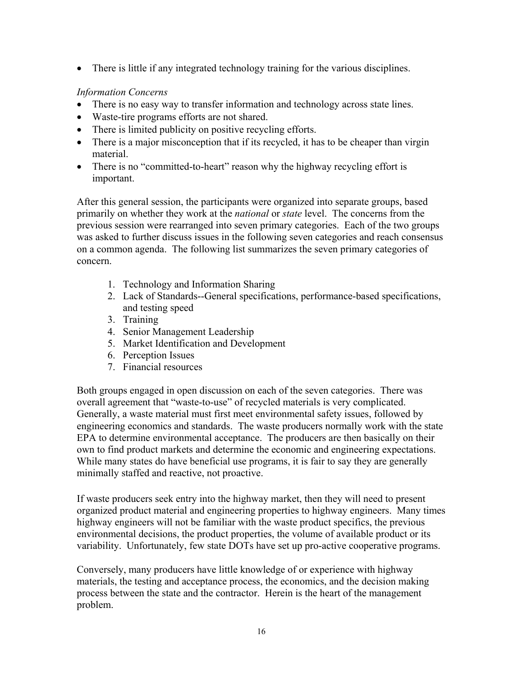• There is little if any integrated technology training for the various disciplines.

# *Information Concerns*

- There is no easy way to transfer information and technology across state lines.
- Waste-tire programs efforts are not shared.
- There is limited publicity on positive recycling efforts.
- There is a major misconception that if its recycled, it has to be cheaper than virgin material.
- There is no "committed-to-heart" reason why the highway recycling effort is important.

After this general session, the participants were organized into separate groups, based primarily on whether they work at the *national* or *state* level. The concerns from the previous session were rearranged into seven primary categories. Each of the two groups was asked to further discuss issues in the following seven categories and reach consensus on a common agenda. The following list summarizes the seven primary categories of concern.

- 1. Technology and Information Sharing
- 2. Lack of Standards--General specifications, performance-based specifications, and testing speed
- 3. Training
- 4. Senior Management Leadership
- 5. Market Identification and Development
- 6. Perception Issues
- 7. Financial resources

Both groups engaged in open discussion on each of the seven categories. There was overall agreement that "waste-to-use" of recycled materials is very complicated. Generally, a waste material must first meet environmental safety issues, followed by engineering economics and standards. The waste producers normally work with the state EPA to determine environmental acceptance. The producers are then basically on their own to find product markets and determine the economic and engineering expectations. While many states do have beneficial use programs, it is fair to say they are generally minimally staffed and reactive, not proactive.

If waste producers seek entry into the highway market, then they will need to present organized product material and engineering properties to highway engineers. Many times highway engineers will not be familiar with the waste product specifics, the previous environmental decisions, the product properties, the volume of available product or its variability. Unfortunately, few state DOTs have set up pro-active cooperative programs.

Conversely, many producers have little knowledge of or experience with highway materials, the testing and acceptance process, the economics, and the decision making process between the state and the contractor. Herein is the heart of the management problem.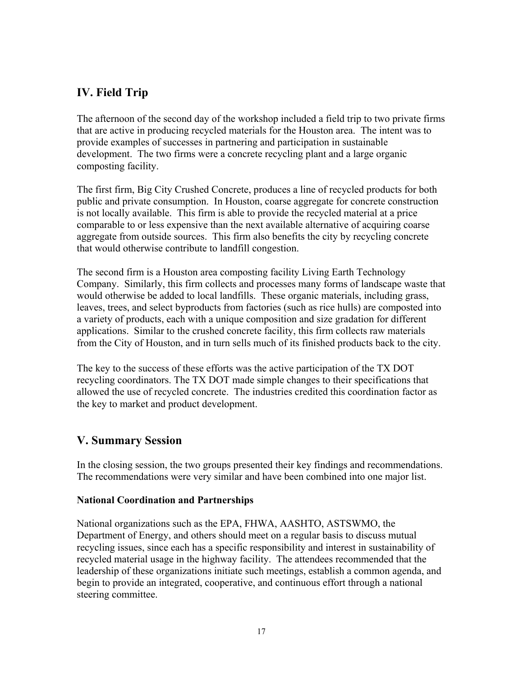# <span id="page-16-0"></span>**IV. Field Trip**

The afternoon of the second day of the workshop included a field trip to two private firms that are active in producing recycled materials for the Houston area. The intent was to provide examples of successes in partnering and participation in sustainable development. The two firms were a concrete recycling plant and a large organic composting facility.

The first firm, Big City Crushed Concrete, produces a line of recycled products for both public and private consumption. In Houston, coarse aggregate for concrete construction is not locally available. This firm is able to provide the recycled material at a price comparable to or less expensive than the next available alternative of acquiring coarse aggregate from outside sources. This firm also benefits the city by recycling concrete that would otherwise contribute to landfill congestion.

The second firm is a Houston area composting facility Living Earth Technology Company. Similarly, this firm collects and processes many forms of landscape waste that would otherwise be added to local landfills. These organic materials, including grass, leaves, trees, and select byproducts from factories (such as rice hulls) are composted into a variety of products, each with a unique composition and size gradation for different applications. Similar to the crushed concrete facility, this firm collects raw materials from the City of Houston, and in turn sells much of its finished products back to the city.

The key to the success of these efforts was the active participation of the TX DOT recycling coordinators. The TX DOT made simple changes to their specifications that allowed the use of recycled concrete. The industries credited this coordination factor as the key to market and product development.

# **V. Summary Session**

In the closing session, the two groups presented their key findings and recommendations. The recommendations were very similar and have been combined into one major list.

# **National Coordination and Partnerships**

National organizations such as the EPA, FHWA, AASHTO, ASTSWMO, the Department of Energy, and others should meet on a regular basis to discuss mutual recycling issues, since each has a specific responsibility and interest in sustainability of recycled material usage in the highway facility. The attendees recommended that the leadership of these organizations initiate such meetings, establish a common agenda, and begin to provide an integrated, cooperative, and continuous effort through a national steering committee.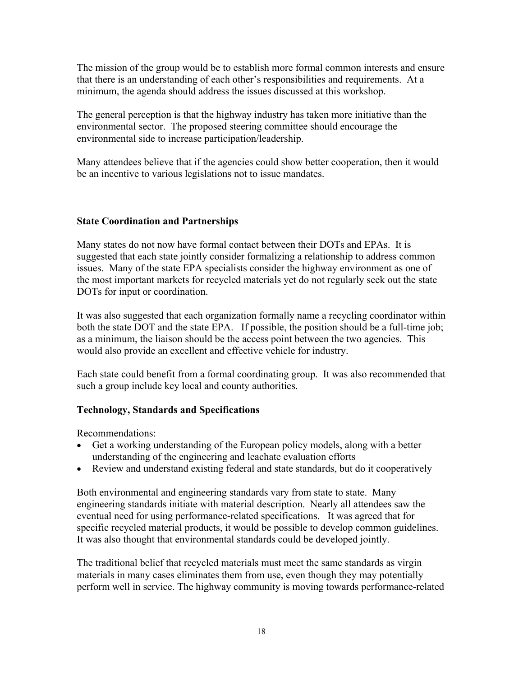The mission of the group would be to establish more formal common interests and ensure that there is an understanding of each other's responsibilities and requirements. At a minimum, the agenda should address the issues discussed at this workshop.

The general perception is that the highway industry has taken more initiative than the environmental sector. The proposed steering committee should encourage the environmental side to increase participation/leadership.

Many attendees believe that if the agencies could show better cooperation, then it would be an incentive to various legislations not to issue mandates.

# **State Coordination and Partnerships**

Many states do not now have formal contact between their DOTs and EPAs. It is suggested that each state jointly consider formalizing a relationship to address common issues. Many of the state EPA specialists consider the highway environment as one of the most important markets for recycled materials yet do not regularly seek out the state DOTs for input or coordination.

It was also suggested that each organization formally name a recycling coordinator within both the state DOT and the state EPA. If possible, the position should be a full-time job; as a minimum, the liaison should be the access point between the two agencies. This would also provide an excellent and effective vehicle for industry.

Each state could benefit from a formal coordinating group. It was also recommended that such a group include key local and county authorities.

# **Technology, Standards and Specifications**

Recommendations:

- Get a working understanding of the European policy models, along with a better understanding of the engineering and leachate evaluation efforts
- Review and understand existing federal and state standards, but do it cooperatively

Both environmental and engineering standards vary from state to state. Many engineering standards initiate with material description. Nearly all attendees saw the eventual need for using performance-related specifications. It was agreed that for specific recycled material products, it would be possible to develop common guidelines. It was also thought that environmental standards could be developed jointly.

The traditional belief that recycled materials must meet the same standards as virgin materials in many cases eliminates them from use, even though they may potentially perform well in service. The highway community is moving towards performance-related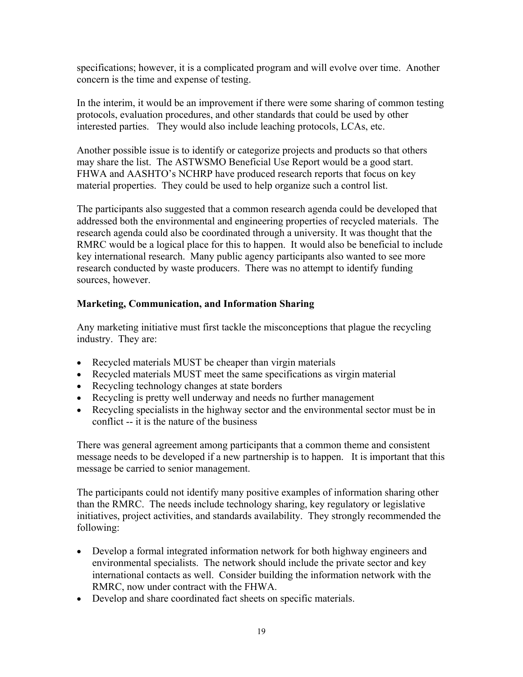specifications; however, it is a complicated program and will evolve over time. Another concern is the time and expense of testing.

In the interim, it would be an improvement if there were some sharing of common testing protocols, evaluation procedures, and other standards that could be used by other interested parties. They would also include leaching protocols, LCAs, etc.

Another possible issue is to identify or categorize projects and products so that others may share the list. The ASTWSMO Beneficial Use Report would be a good start. FHWA and AASHTO's NCHRP have produced research reports that focus on key material properties. They could be used to help organize such a control list.

The participants also suggested that a common research agenda could be developed that addressed both the environmental and engineering properties of recycled materials. The research agenda could also be coordinated through a university. It was thought that the RMRC would be a logical place for this to happen. It would also be beneficial to include key international research. Many public agency participants also wanted to see more research conducted by waste producers. There was no attempt to identify funding sources, however.

# **Marketing, Communication, and Information Sharing**

Any marketing initiative must first tackle the misconceptions that plague the recycling industry. They are:

- Recycled materials MUST be cheaper than virgin materials
- Recycled materials MUST meet the same specifications as virgin material
- Recycling technology changes at state borders
- Recycling is pretty well underway and needs no further management
- Recycling specialists in the highway sector and the environmental sector must be in conflict -- it is the nature of the business

There was general agreement among participants that a common theme and consistent message needs to be developed if a new partnership is to happen. It is important that this message be carried to senior management.

The participants could not identify many positive examples of information sharing other than the RMRC. The needs include technology sharing, key regulatory or legislative initiatives, project activities, and standards availability. They strongly recommended the following:

- Develop a formal integrated information network for both highway engineers and environmental specialists. The network should include the private sector and key international contacts as well. Consider building the information network with the RMRC, now under contract with the FHWA.
- Develop and share coordinated fact sheets on specific materials.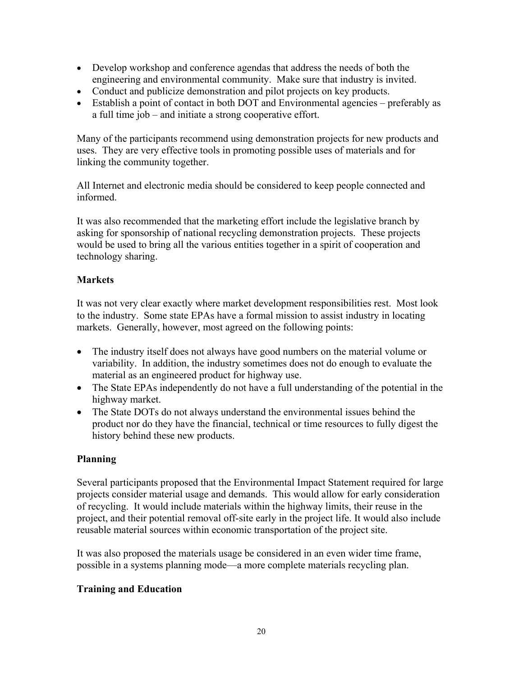- Develop workshop and conference agendas that address the needs of both the engineering and environmental community. Make sure that industry is invited.
- Conduct and publicize demonstration and pilot projects on key products.
- Establish a point of contact in both DOT and Environmental agencies preferably as a full time job – and initiate a strong cooperative effort.

Many of the participants recommend using demonstration projects for new products and uses. They are very effective tools in promoting possible uses of materials and for linking the community together.

All Internet and electronic media should be considered to keep people connected and informed.

It was also recommended that the marketing effort include the legislative branch by asking for sponsorship of national recycling demonstration projects. These projects would be used to bring all the various entities together in a spirit of cooperation and technology sharing.

# **Markets**

It was not very clear exactly where market development responsibilities rest. Most look to the industry. Some state EPAs have a formal mission to assist industry in locating markets. Generally, however, most agreed on the following points:

- The industry itself does not always have good numbers on the material volume or variability. In addition, the industry sometimes does not do enough to evaluate the material as an engineered product for highway use.
- The State EPAs independently do not have a full understanding of the potential in the highway market.
- The State DOTs do not always understand the environmental issues behind the product nor do they have the financial, technical or time resources to fully digest the history behind these new products.

# **Planning**

Several participants proposed that the Environmental Impact Statement required for large projects consider material usage and demands. This would allow for early consideration of recycling. It would include materials within the highway limits, their reuse in the project, and their potential removal off-site early in the project life. It would also include reusable material sources within economic transportation of the project site.

 possible in a systems planning mode—a more complete materials recycling plan. It was also proposed the materials usage be considered in an even wider time frame,

# **Training and Education**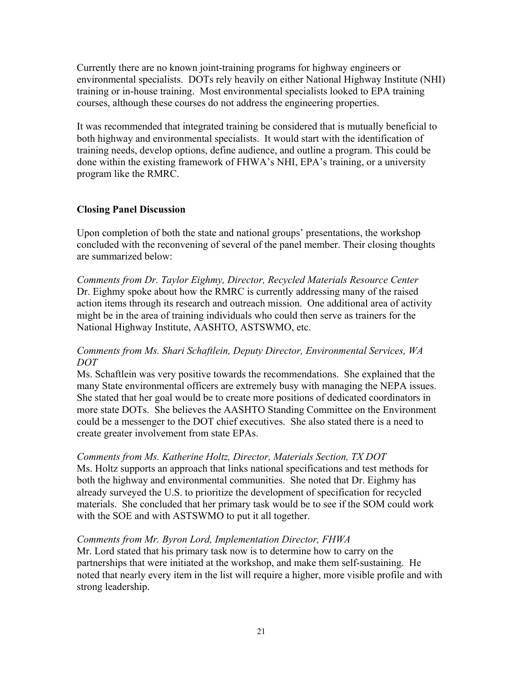Currently there are no known joint-training programs for highway engineers or environmental specialists. DOTs rely heavily on either National Highway Institute (NHI) training or in-house training. Most environmental specialists looked to EPA training courses, although these courses do not address the engineering properties.

It was recommended that integrated training be considered that is mutually beneficial to both highway and environmental specialists. It would start with the identification of training needs, develop options, define audience, and outline a program. This could be done within the existing framework of FHWA's NHI, EPA's training, or a university program like the RMRC.

## **Closing Panel Discussion**

Upon completion of both the state and national groups' presentations, the workshop concluded with the reconvening of several of the panel member. Their closing thoughts are summarized below:

*Comments from Dr. Taylor Eighmy, Director, Recycled Materials Resource Center*  Dr. Eighmy spoke about how the RMRC is currently addressing many of the raised action items through its research and outreach mission. One additional area of activity might be in the area of training individuals who could then serve as trainers for the National Highway Institute, AASHTO, ASTSWMO, etc.

## *Comments from Ms. Shari Schaftlein, Deputy Director, Environmental Services, WA DOT*

Ms. Schaftlein was very positive towards the recommendations. She explained that the many State environmental officers are extremely busy with managing the NEPA issues. She stated that her goal would be to create more positions of dedicated coordinators in more state DOTs. She believes the AASHTO Standing Committee on the Environment could be a messenger to the DOT chief executives. She also stated there is a need to create greater involvement from state EPAs.

### *Comments from Ms. Katherine Holtz, Director, Materials Section, TX DOT*

Ms. Holtz supports an approach that links national specifications and test methods for both the highway and environmental communities. She noted that Dr. Eighmy has already surveyed the U.S. to prioritize the development of specification for recycled materials. She concluded that her primary task would be to see if the SOM could work with the SOE and with ASTSWMO to put it all together.

### *Comments from Mr. Byron Lord, Implementation Director, FHWA*

Mr. Lord stated that his primary task now is to determine how to carry on the partnerships that were initiated at the workshop, and make them self-sustaining. He noted that nearly every item in the list will require a higher, more visible profile and with strong leadership.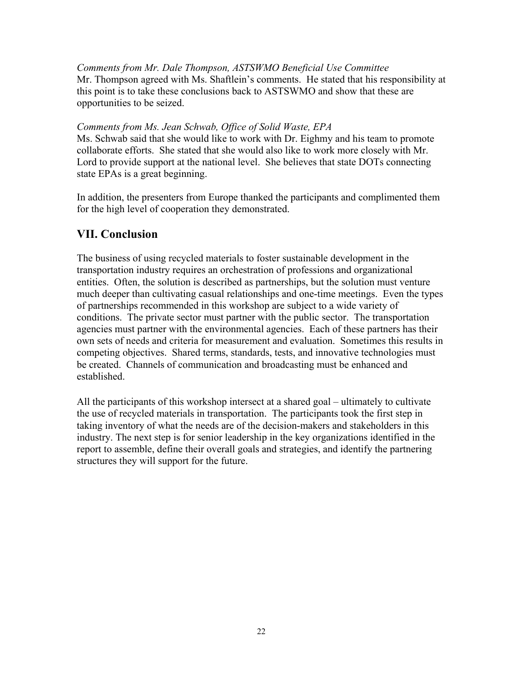<span id="page-21-0"></span>*Comments from Mr. Dale Thompson, ASTSWMO Beneficial Use Committee*  Mr. Thompson agreed with Ms. Shaftlein's comments. He stated that his responsibility at this point is to take these conclusions back to ASTSWMO and show that these are opportunities to be seized.

*Comments from Ms. Jean Schwab, Office of Solid Waste, EPA* 

Ms. Schwab said that she would like to work with Dr. Eighmy and his team to promote collaborate efforts. She stated that she would also like to work more closely with Mr. Lord to provide support at the national level. She believes that state DOTs connecting state EPAs is a great beginning.

In addition, the presenters from Europe thanked the participants and complimented them for the high level of cooperation they demonstrated.

# **VII. Conclusion**

The business of using recycled materials to foster sustainable development in the transportation industry requires an orchestration of professions and organizational entities. Often, the solution is described as partnerships, but the solution must venture much deeper than cultivating casual relationships and one-time meetings. Even the types of partnerships recommended in this workshop are subject to a wide variety of conditions. The private sector must partner with the public sector. The transportation agencies must partner with the environmental agencies. Each of these partners has their own sets of needs and criteria for measurement and evaluation. Sometimes this results in competing objectives. Shared terms, standards, tests, and innovative technologies must be created. Channels of communication and broadcasting must be enhanced and established.

All the participants of this workshop intersect at a shared goal – ultimately to cultivate the use of recycled materials in transportation. The participants took the first step in taking inventory of what the needs are of the decision-makers and stakeholders in this industry. The next step is for senior leadership in the key organizations identified in the report to assemble, define their overall goals and strategies, and identify the partnering structures they will support for the future.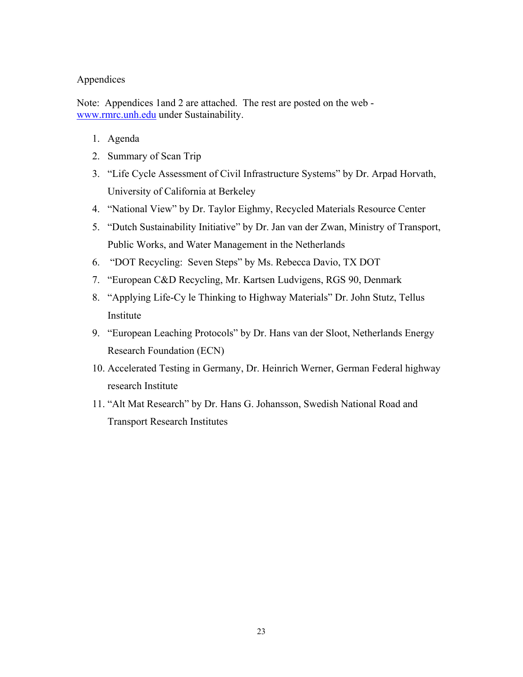### Appendices

Note: Appendices 1and 2 are attached. The rest are posted on the web www.rmrc.unh.edu under Sustainability.

- 1. Agenda
- 2. Summary of Scan Trip
- 3. "Life Cycle Assessment of Civil Infrastructure Systems" by Dr. Arpad Horvath, University of California at Berkeley
- 4. "National View" by Dr. Taylor Eighmy, Recycled Materials Resource Center
- 5. "Dutch Sustainability Initiative" by Dr. Jan van der Zwan, Ministry of Transport, Public Works, and Water Management in the Netherlands
- 6. "DOT Recycling: Seven Steps" by Ms. Rebecca Davio, TX DOT
- 7. "European C&D Recycling, Mr. Kartsen Ludvigens, RGS 90, Denmark
- 8. "Applying Life-Cy le Thinking to Highway Materials" Dr. John Stutz, Tellus Institute
- 9. "European Leaching Protocols" by Dr. Hans van der Sloot, Netherlands Energy Research Foundation (ECN)
- 10. Accelerated Testing in Germany, Dr. Heinrich Werner, German Federal highway research Institute
- 11. "Alt Mat Research" by Dr. Hans G. Johansson, Swedish National Road and Transport Research Institutes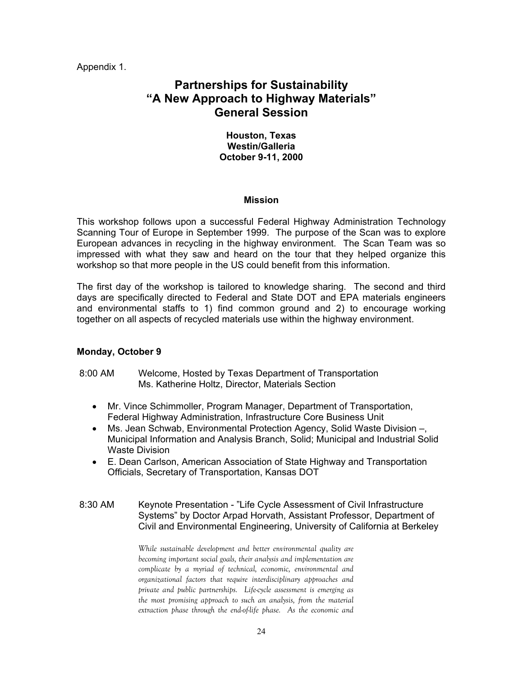Appendix 1.

# **Partnerships for Sustainability "A New Approach to Highway Materials" General Session**

### **Houston, Texas Westin/Galleria October 9-11, 2000**

#### **Mission**

This workshop follows upon a successful Federal Highway Administration Technology Scanning Tour of Europe in September 1999. The purpose of the Scan was to explore European advances in recycling in the highway environment. The Scan Team was so impressed with what they saw and heard on the tour that they helped organize this workshop so that more people in the US could benefit from this information.

The first day of the workshop is tailored to knowledge sharing. The second and third days are specifically directed to Federal and State DOT and EPA materials engineers and environmental staffs to 1) find common ground and 2) to encourage working together on all aspects of recycled materials use within the highway environment.

#### **Monday, October 9**

#### 8:00 AM Welcome, Hosted by Texas Department of Transportation Ms. Katherine Holtz, Director, Materials Section

- Mr. Vince Schimmoller, Program Manager, Department of Transportation, Federal Highway Administration, Infrastructure Core Business Unit
- Ms. Jean Schwab, Environmental Protection Agency, Solid Waste Division –, Municipal Information and Analysis Branch, Solid; Municipal and Industrial Solid Waste Division
- E. Dean Carlson, American Association of State Highway and Transportation Officials, Secretary of Transportation, Kansas DOT
- 8:30 AM Keynote Presentation "Life Cycle Assessment of Civil Infrastructure Systems" by Doctor Arpad Horvath, Assistant Professor, Department of Civil and Environmental Engineering, University of California at Berkeley

*While sustainable development and better environmental quality are becoming important social goals, their analysis and implementation are complicate by a myriad of technical, economic, environmental and organizational factors that require interdisciplinary approaches and private and public partnerships. Life-cycle assessment is emerging as the most promising approach to such an analysis, from the material extraction phase through the end-of-life phase. As the economic and*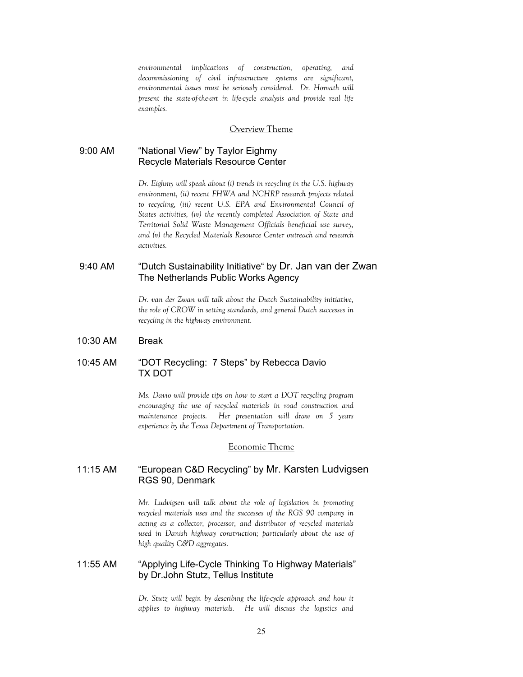*environmental implications of construction, operating, and decommissioning of civil infrastructure systems are significant, environmental issues must be seriously considered. Dr. Horvath will present the state-of-the-art in life-cycle analysis and provide real life examples.* 

#### Overview Theme

#### 9:00 AM "National View" by Taylor Eighmy Recycle Materials Resource Center

*Dr. Eighmy will speak about (i) trends in recycling in the U.S. highway environment, (ii) recent FHWA and NCHRP research projects related to recycling, (iii) recent U.S. EPA and Environmental Council of States activities, (iv) the recently completed Association of State and Territorial Solid Waste Management Officials beneficial use survey, and (v) the Recycled Materials Resource Center outreach and research activities.*

#### 9:40 AM "Dutch Sustainability Initiative" by Dr. Jan van der Zwan The Netherlands Public Works Agency

*Dr. van der Zwan will talk about the Dutch Sustainability initiative, the role of CROW in setting standards, and general Dutch successes in recycling in the highway environment.* 

#### 10:30 AM Break

#### 10:45 AM "DOT Recycling: 7 Steps" by Rebecca Davio TX DOT

*Ms. Davio will provide tips on how to start a DOT recycling program encouraging the use of recycled materials in road construction and maintenance projects. Her presentation will draw on 5 years experience by the Texas Department of Transportation.* 

#### Economic Theme

### 11:15 AM "European C&D Recycling" by Mr. Karsten Ludvigsen RGS 90, Denmark

*Mr. Ludvigsen will talk about the role of legislation in promoting recycled materials uses and the successes of the RGS 90 company in acting as a collector, processor, and distributor of recycled materials used in Danish highway construction; particularly about the use of high quality C&D aggregates.* 

#### 11:55 AM "Applying Life-Cycle Thinking To Highway Materials" by Dr.John Stutz, Tellus Institute

*Dr. Stutz will begin by describing the life-cycle approach and how it applies to highway materials. He will discuss the logistics and*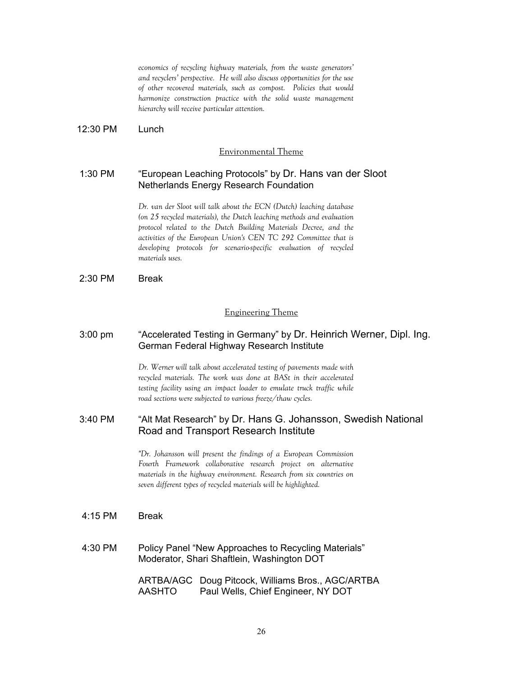*of other recovered materials, such as compost. Policies that would economics of recycling highway materials, from the waste generators' and recyclers' perspective. He will also discuss opportunities for the use harmonize construction practice with the solid waste management hierarchy will receive particular attention.* 

12:30 PM Lunch

#### Environmental Theme

#### 1:30 PM "European Leaching Protocols" by Dr. Hans van der Sloot Netherlands Energy Research Foundation

*Dr. van der Sloot will talk about the ECN (Dutch) leaching database (on 25 recycled materials), the Dutch leaching methods and evaluation protocol related to the Dutch Building Materials Decree, and the activities of the European Union's CEN TC 292 Committee that is developing protocols for scenario-specific evaluation of recycled materials uses.* 

2:30 PM Break

#### Engineering Theme

#### 3:00 pm "Accelerated Testing in Germany" by Dr. Heinrich Werner, Dipl. Ing. German Federal Highway Research Institute

*Dr. Werner will talk about accelerated testing of pavements made with recycled materials. The work was done at BASt in their accelerated testing facility using an impact loader to emulate truck traffic while road sections were subjected to various freeze/thaw cycles.* 

### 3:40 PM "Alt Mat Research" by Dr. Hans G. Johansson, Swedish National Road and Transport Research Institute

*"Dr. Johansson will present the findings of a European Commission Fourth Framework collaborative research project on alternative materials in the highway environment. Research from six countries on seven different types of recycled materials will be highlighted.*

- 4:15 PM Break
- 4:30 PM Policy Panel "New Approaches to Recycling Materials" Moderator, Shari Shaftlein, Washington DOT

ARTBA/AGC Doug Pitcock, Williams Bros., AGC/ARTBA AASHTO Paul Wells, Chief Engineer, NY DOT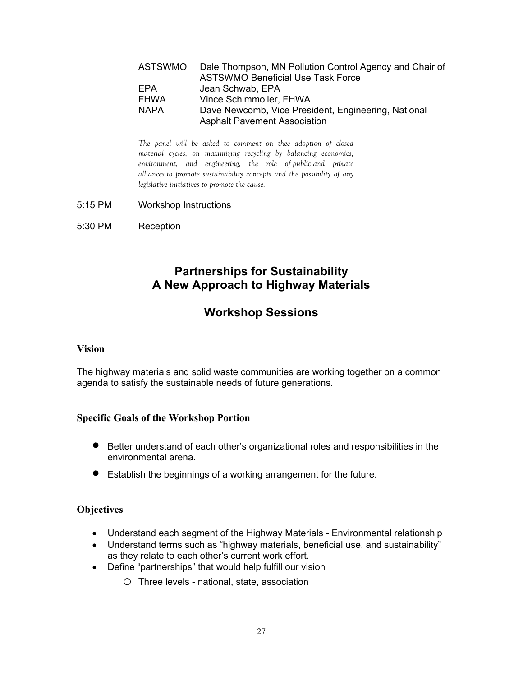| ASTSWMO     | Dale Thompson, MN Pollution Control Agency and Chair of |
|-------------|---------------------------------------------------------|
|             | <b>ASTSWMO Beneficial Use Task Force</b>                |
| EPA         | Jean Schwab, EPA                                        |
| <b>FHWA</b> | Vince Schimmoller, FHWA                                 |
| <b>NAPA</b> | Dave Newcomb, Vice President, Engineering, National     |
|             | <b>Asphalt Pavement Association</b>                     |

*The panel will be asked to comment on thee adoption of closed material cycles, on maximizing recycling by balancing economics, environment, and engineering, the role of public and private alliances to promote sustainability concepts and the possibility of any legislative initiatives to promote the cause.* 

- 5:15 PM Workshop Instructions
- 5:30 PM Reception

# **Partnerships for Sustainability A New Approach to Highway Materials**

# **Workshop Sessions**

#### **Vision**

The highway materials and solid waste communities are working together on a common agenda to satisfy the sustainable needs of future generations.

### **Specific Goals of the Workshop Portion**

- Better understand of each other's organizational roles and responsibilities in the environmental arena.
- Establish the beginnings of a working arrangement for the future.

### **Objectives**

- Understand each segment of the Highway Materials Environmental relationship
- Understand terms such as "highway materials, beneficial use, and sustainability" as they relate to each other's current work effort.
- Define "partnerships" that would help fulfill our vision
	- o Three levels national, state, association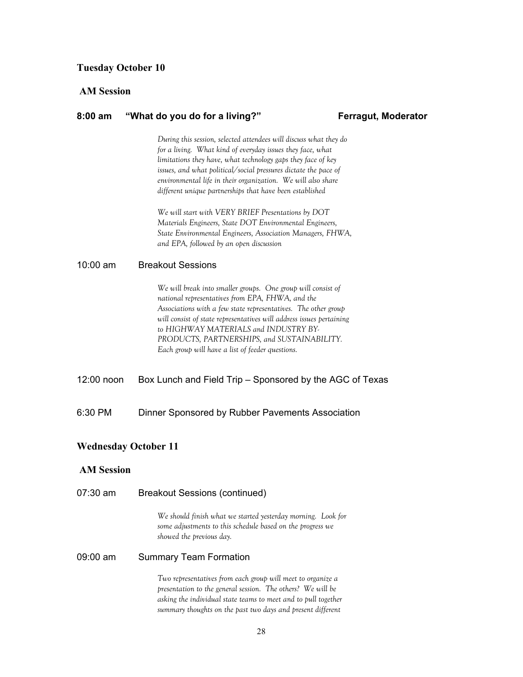#### **Tuesday October 10**

#### **AM Session**

#### **8:00 am "What do you do for a living?" Ferragut, Moderator**

*During this session, selected attendees will discuss what they do for a living. What kind of everyday issues they face, what limitations they have, what technology gaps they face of key issues, and what political/social pressures dictate the pace of environmental life in their organization. We will also share different unique partnerships that have been established* 

*We will start with VERY BRIEF Presentations by DOT Materials Engineers, State DOT Environmental Engineers, State Environmental Engineers, Association Managers, FHWA, and EPA, followed by an open discussion* 

#### 10:00 am Breakout Sessions

*We will break into smaller groups. One group will consist of national representatives from EPA, FHWA, and the Associations with a few state representatives. The other group will consist of state representatives will address issues pertaining to HIGHWAY MATERIALS and INDUSTRY BY-PRODUCTS, PARTNERSHIPS, and SUSTAINABILITY. Each group will have a list of feeder questions.* 

12:00 noon Box Lunch and Field Trip – Sponsored by the AGC of Texas

6:30 PM Dinner Sponsored by Rubber Pavements Association

#### **Wednesday October 11**

#### **AM Session**

| 07:30 am | <b>Breakout Sessions (continued)</b>                                                                                                                                                                                                                        |  |  |
|----------|-------------------------------------------------------------------------------------------------------------------------------------------------------------------------------------------------------------------------------------------------------------|--|--|
|          | We should finish what we started yesterday morning. Look for<br>some adjustments to this schedule based on the progress we<br>showed the previous day.                                                                                                      |  |  |
| 09:00 am | <b>Summary Team Formation</b>                                                                                                                                                                                                                               |  |  |
|          | Two representatives from each group will meet to organize a<br>presentation to the general session. The others? We will be<br>asking the individual state teams to meet and to pull together<br>summary thoughts on the past two days and present different |  |  |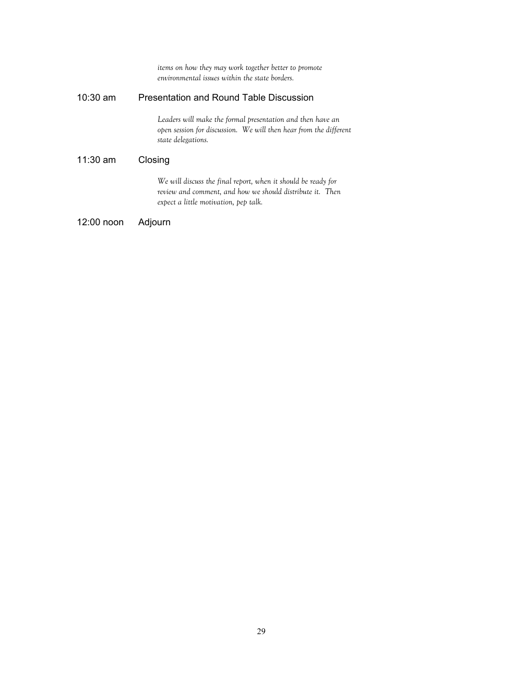*items on how they may work together better to promote environmental issues within the state borders.*  10:30 am Presentation and Round Table Discussion *Leaders will make the formal presentation and then have an open session for discussion. We will then hear from the different state delegations.*  11:30 am Closing *We will discuss the final report, when it should be ready for review and comment, and how we should distribute it. Then expect a little motivation, pep talk.*  12:00 noon Adjourn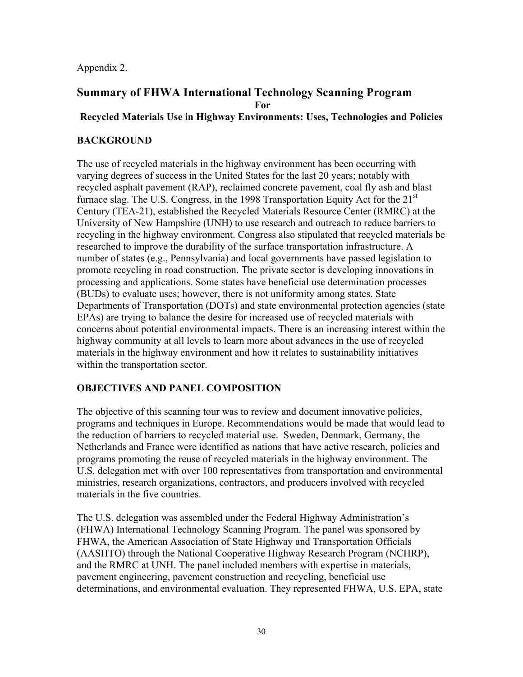Appendix 2.

# **Summary of FHWA International Technology Scanning Program For**

# **Recycled Materials Use in Highway Environments: Uses, Technologies and Policies**

# **BACKGROUND**

The use of recycled materials in the highway environment has been occurring with varying degrees of success in the United States for the last 20 years; notably with recycled asphalt pavement (RAP), reclaimed concrete pavement, coal fly ash and blast furnace slag. The U.S. Congress, in the 1998 Transportation Equity Act for the 21<sup>st</sup> Century (TEA-21), established the Recycled Materials Resource Center (RMRC) at the University of New Hampshire (UNH) to use research and outreach to reduce barriers to recycling in the highway environment. Congress also stipulated that recycled materials be researched to improve the durability of the surface transportation infrastructure. A number of states (e.g., Pennsylvania) and local governments have passed legislation to promote recycling in road construction. The private sector is developing innovations in processing and applications. Some states have beneficial use determination processes (BUDs) to evaluate uses; however, there is not uniformity among states. State Departments of Transportation (DOTs) and state environmental protection agencies (state EPAs) are trying to balance the desire for increased use of recycled materials with concerns about potential environmental impacts. There is an increasing interest within the highway community at all levels to learn more about advances in the use of recycled materials in the highway environment and how it relates to sustainability initiatives within the transportation sector.

# **OBJECTIVES AND PANEL COMPOSITION**

The objective of this scanning tour was to review and document innovative policies, programs and techniques in Europe. Recommendations would be made that would lead to the reduction of barriers to recycled material use. Sweden, Denmark, Germany, the Netherlands and France were identified as nations that have active research, policies and programs promoting the reuse of recycled materials in the highway environment. The U.S. delegation met with over 100 representatives from transportation and environmental ministries, research organizations, contractors, and producers involved with recycled materials in the five countries.

The U.S. delegation was assembled under the Federal Highway Administration's (FHWA) International Technology Scanning Program. The panel was sponsored by FHWA, the American Association of State Highway and Transportation Officials (AASHTO) through the National Cooperative Highway Research Program (NCHRP), and the RMRC at UNH. The panel included members with expertise in materials, pavement engineering, pavement construction and recycling, beneficial use determinations, and environmental evaluation. They represented FHWA, U.S. EPA, state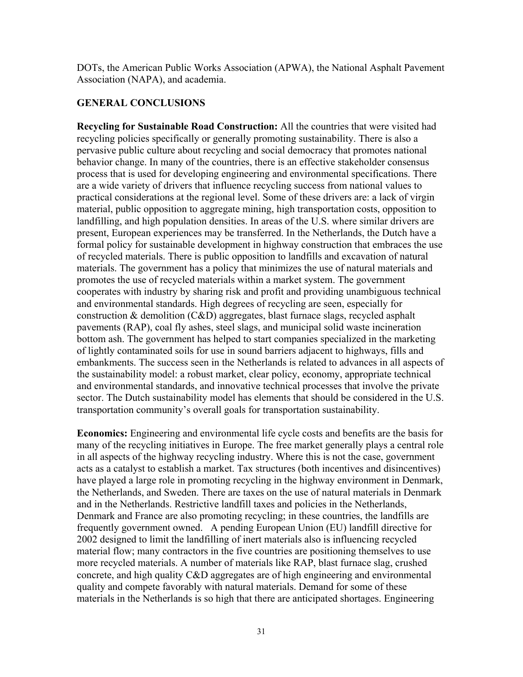DOTs, the American Public Works Association (APWA), the National Asphalt Pavement Association (NAPA), and academia.

# **GENERAL CONCLUSIONS**

**Recycling for Sustainable Road Construction:** All the countries that were visited had recycling policies specifically or generally promoting sustainability. There is also a pervasive public culture about recycling and social democracy that promotes national behavior change. In many of the countries, there is an effective stakeholder consensus process that is used for developing engineering and environmental specifications. There are a wide variety of drivers that influence recycling success from national values to practical considerations at the regional level. Some of these drivers are: a lack of virgin material, public opposition to aggregate mining, high transportation costs, opposition to landfilling, and high population densities. In areas of the U.S. where similar drivers are present, European experiences may be transferred. In the Netherlands, the Dutch have a formal policy for sustainable development in highway construction that embraces the use of recycled materials. There is public opposition to landfills and excavation of natural materials. The government has a policy that minimizes the use of natural materials and promotes the use of recycled materials within a market system. The government cooperates with industry by sharing risk and profit and providing unambiguous technical and environmental standards. High degrees of recycling are seen, especially for construction & demolition (C&D) aggregates, blast furnace slags, recycled asphalt pavements (RAP), coal fly ashes, steel slags, and municipal solid waste incineration bottom ash. The government has helped to start companies specialized in the marketing of lightly contaminated soils for use in sound barriers adjacent to highways, fills and embankments. The success seen in the Netherlands is related to advances in all aspects of the sustainability model: a robust market, clear policy, economy, appropriate technical and environmental standards, and innovative technical processes that involve the private sector. The Dutch sustainability model has elements that should be considered in the U.S. transportation community's overall goals for transportation sustainability.

**Economics:** Engineering and environmental life cycle costs and benefits are the basis for many of the recycling initiatives in Europe. The free market generally plays a central role in all aspects of the highway recycling industry. Where this is not the case, government acts as a catalyst to establish a market. Tax structures (both incentives and disincentives) have played a large role in promoting recycling in the highway environment in Denmark, the Netherlands, and Sweden. There are taxes on the use of natural materials in Denmark and in the Netherlands. Restrictive landfill taxes and policies in the Netherlands, Denmark and France are also promoting recycling; in these countries, the landfills are frequently government owned. A pending European Union (EU) landfill directive for 2002 designed to limit the landfilling of inert materials also is influencing recycled material flow; many contractors in the five countries are positioning themselves to use more recycled materials. A number of materials like RAP, blast furnace slag, crushed concrete, and high quality C&D aggregates are of high engineering and environmental quality and compete favorably with natural materials. Demand for some of these materials in the Netherlands is so high that there are anticipated shortages. Engineering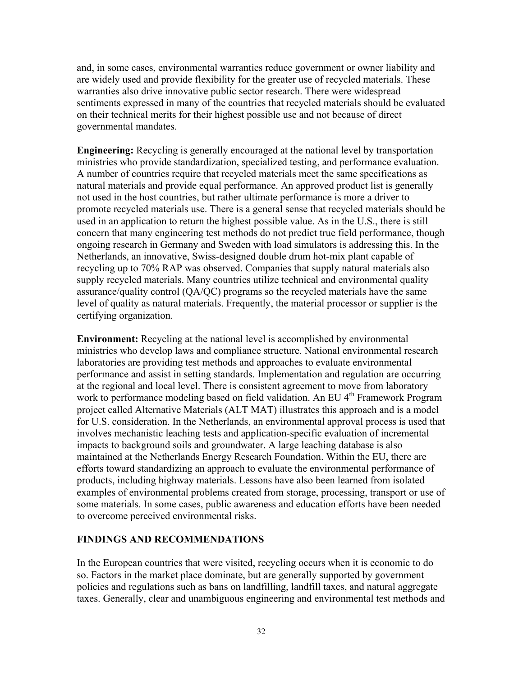<span id="page-31-0"></span>and, in some cases, environmental warranties reduce government or owner liability and are widely used and provide flexibility for the greater use of recycled materials. These warranties also drive innovative public sector research. There were widespread sentiments expressed in many of the countries that recycled materials should be evaluated on their technical merits for their highest possible use and not because of direct governmental mandates.

**Engineering:** Recycling is generally encouraged at the national level by transportation ministries who provide standardization, specialized testing, and performance evaluation. A number of countries require that recycled materials meet the same specifications as natural materials and provide equal performance. An approved product list is generally not used in the host countries, but rather ultimate performance is more a driver to promote recycled materials use. There is a general sense that recycled materials should be used in an application to return the highest possible value. As in the U.S., there is still concern that many engineering test methods do not predict true field performance, though ongoing research in Germany and Sweden with load simulators is addressing this. In the Netherlands, an innovative, Swiss-designed double drum hot-mix plant capable of recycling up to 70% RAP was observed. Companies that supply natural materials also supply recycled materials. Many countries utilize technical and environmental quality assurance/quality control (QA/QC) programs so the recycled materials have the same level of quality as natural materials. Frequently, the material processor or supplier is the certifying organization.

**Environment:** Recycling at the national level is accomplished by environmental ministries who develop laws and compliance structure. National environmental research laboratories are providing test methods and approaches to evaluate environmental performance and assist in setting standards. Implementation and regulation are occurring at the regional and local level. There is consistent agreement to move from laboratory work to performance modeling based on field validation. An EU 4<sup>th</sup> Framework Program project called Alternative Materials (ALT MAT) illustrates this approach and is a model for U.S. consideration. In the Netherlands, an environmental approval process is used that involves mechanistic leaching tests and application-specific evaluation of incremental impacts to background soils and groundwater. A large leaching database is also maintained at the Netherlands Energy Research Foundation. Within the EU, there are efforts toward standardizing an approach to evaluate the environmental performance of products, including highway materials. Lessons have also been learned from isolated examples of environmental problems created from storage, processing, transport or use of some materials. In some cases, public awareness and education efforts have been needed to overcome perceived environmental risks.

### **FINDINGS AND RECOMMENDATIONS**

In the European countries that were visited, recycling occurs when it is economic to do so. Factors in the market place dominate, but are generally supported by government policies and regulations such as bans on landfilling, landfill taxes, and natural aggregate taxes. Generally, clear and unambiguous engineering and environmental test methods and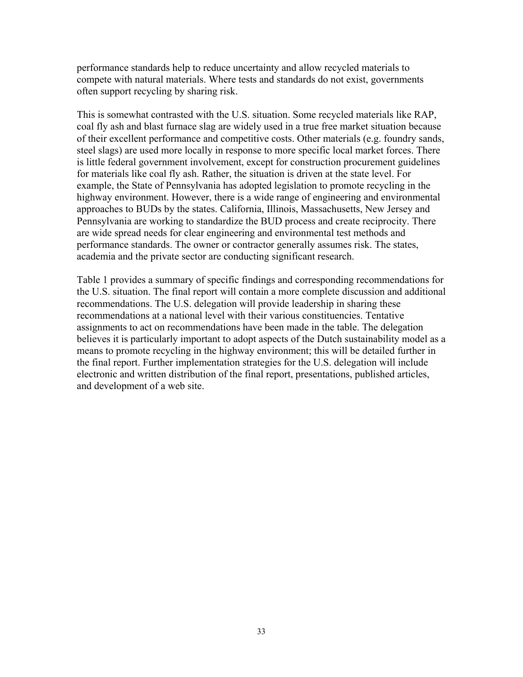performance standards help to reduce uncertainty and allow recycled materials to compete with natural materials. Where tests and standards do not exist, governments often support recycling by sharing risk.

This is somewhat contrasted with the U.S. situation. Some recycled materials like RAP, coal fly ash and blast furnace slag are widely used in a true free market situation because of their excellent performance and competitive costs. Other materials (e.g. foundry sands, steel slags) are used more locally in response to more specific local market forces. There is little federal government involvement, except for construction procurement guidelines for materials like coal fly ash. Rather, the situation is driven at the state level. For example, the State of Pennsylvania has adopted legislation to promote recycling in the highway environment. However, there is a wide range of engineering and environmental approaches to BUDs by the states. California, Illinois, Massachusetts, New Jersey and Pennsylvania are working to standardize the BUD process and create reciprocity. There are wide spread needs for clear engineering and environmental test methods and performance standards. The owner or contractor generally assumes risk. The states, academia and the private sector are conducting significant research.

Table 1 provides a summary of specific findings and corresponding recommendations for the U.S. situation. The final report will contain a more complete discussion and additional recommendations. The U.S. delegation will provide leadership in sharing these recommendations at a national level with their various constituencies. Tentative assignments to act on recommendations have been made in the table. The delegation believes it is particularly important to adopt aspects of the Dutch sustainability model as a means to promote recycling in the highway environment; this will be detailed further in the final report. Further implementation strategies for the U.S. delegation will include electronic and written distribution of the final report, presentations, published articles, and development of a web site.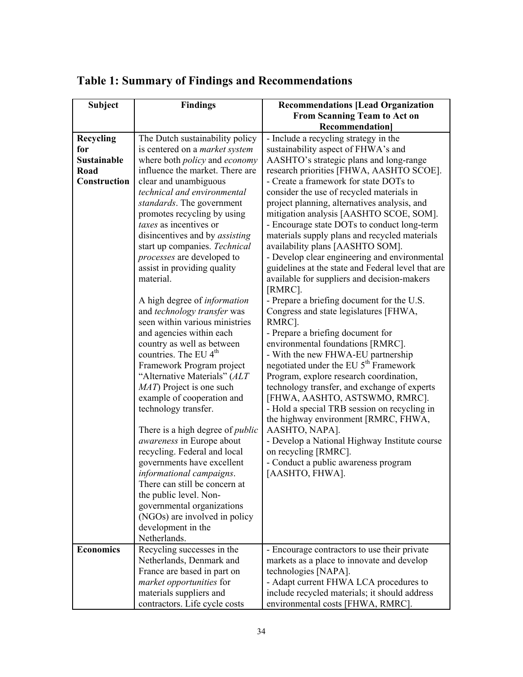| <b>Subject</b>     | <b>Findings</b>                                       | <b>Recommendations [Lead Organization</b>                                               |
|--------------------|-------------------------------------------------------|-----------------------------------------------------------------------------------------|
|                    |                                                       | From Scanning Team to Act on                                                            |
|                    |                                                       | <b>Recommendation</b>                                                                   |
| Recycling          | The Dutch sustainability policy                       | - Include a recycling strategy in the                                                   |
| for                | is centered on a <i>market system</i>                 | sustainability aspect of FHWA's and                                                     |
| <b>Sustainable</b> | where both <i>policy</i> and <i>economy</i>           | AASHTO's strategic plans and long-range                                                 |
| Road               | influence the market. There are                       | research priorities [FHWA, AASHTO SCOE].                                                |
| Construction       | clear and unambiguous                                 | - Create a framework for state DOTs to                                                  |
|                    | technical and environmental                           | consider the use of recycled materials in                                               |
|                    | standards. The government                             | project planning, alternatives analysis, and                                            |
|                    | promotes recycling by using<br>taxes as incentives or | mitigation analysis [AASHTO SCOE, SOM].<br>- Encourage state DOTs to conduct long-term  |
|                    | disincentives and by <i>assisting</i>                 | materials supply plans and recycled materials                                           |
|                    | start up companies. Technical                         | availability plans [AASHTO SOM].                                                        |
|                    | processes are developed to                            | - Develop clear engineering and environmental                                           |
|                    | assist in providing quality                           | guidelines at the state and Federal level that are                                      |
|                    | material.                                             | available for suppliers and decision-makers                                             |
|                    |                                                       | [RMRC].                                                                                 |
|                    | A high degree of <i>information</i>                   | - Prepare a briefing document for the U.S.                                              |
|                    | and technology transfer was                           | Congress and state legislatures [FHWA,                                                  |
|                    | seen within various ministries                        | RMRC].                                                                                  |
|                    | and agencies within each                              | - Prepare a briefing document for                                                       |
|                    | country as well as between                            | environmental foundations [RMRC].                                                       |
|                    | countries. The EU 4 <sup>th</sup>                     | - With the new FHWA-EU partnership                                                      |
|                    | Framework Program project                             | negotiated under the EU 5 <sup>th</sup> Framework                                       |
|                    | "Alternative Materials" (ALT                          | Program, explore research coordination,                                                 |
|                    | MAT) Project is one such                              | technology transfer, and exchange of experts                                            |
|                    | example of cooperation and<br>technology transfer.    | [FHWA, AASHTO, ASTSWMO, RMRC].<br>- Hold a special TRB session on recycling in          |
|                    |                                                       | the highway environment [RMRC, FHWA,                                                    |
|                    | There is a high degree of <i>public</i>               | AASHTO, NAPA].                                                                          |
|                    | <i>awareness</i> in Europe about                      | - Develop a National Highway Institute course                                           |
|                    | recycling. Federal and local                          | on recycling [RMRC].                                                                    |
|                    | governments have excellent                            | - Conduct a public awareness program                                                    |
|                    | informational campaigns.                              | [AASHTO, FHWA].                                                                         |
|                    | There can still be concern at                         |                                                                                         |
|                    | the public level. Non-                                |                                                                                         |
|                    | governmental organizations                            |                                                                                         |
|                    | (NGOs) are involved in policy                         |                                                                                         |
|                    | development in the                                    |                                                                                         |
|                    | Netherlands.                                          |                                                                                         |
| <b>Economics</b>   | Recycling successes in the                            | - Encourage contractors to use their private                                            |
|                    | Netherlands, Denmark and                              | markets as a place to innovate and develop                                              |
|                    | France are based in part on                           | technologies [NAPA].                                                                    |
|                    |                                                       |                                                                                         |
|                    | market opportunities for<br>materials suppliers and   | - Adapt current FHWA LCA procedures to<br>include recycled materials; it should address |

# **Table 1: Summary of Findings and Recommendations**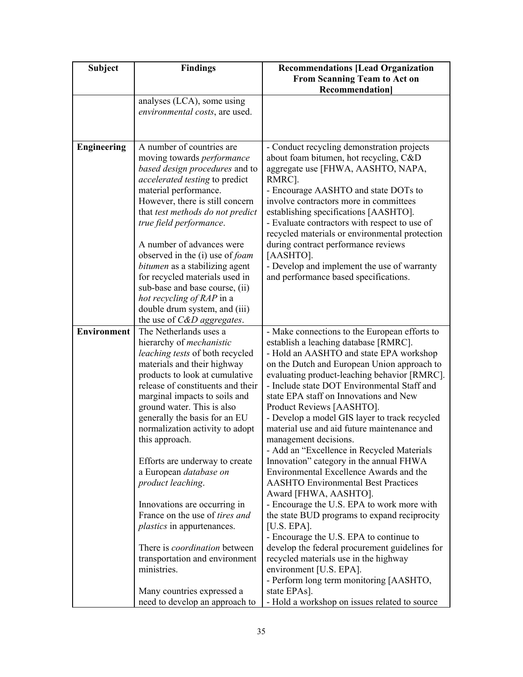| <b>Subject</b>     | <b>Findings</b>                                                                                                                                                                                                                                                                                                                                                                                                                                                                                                                                        | <b>Recommendations [Lead Organization</b><br>From Scanning Team to Act on                                                                                                                                                                                                                                                                                                                                                                                                                                                                                                                                                                                                                                                                                                                                                                              |
|--------------------|--------------------------------------------------------------------------------------------------------------------------------------------------------------------------------------------------------------------------------------------------------------------------------------------------------------------------------------------------------------------------------------------------------------------------------------------------------------------------------------------------------------------------------------------------------|--------------------------------------------------------------------------------------------------------------------------------------------------------------------------------------------------------------------------------------------------------------------------------------------------------------------------------------------------------------------------------------------------------------------------------------------------------------------------------------------------------------------------------------------------------------------------------------------------------------------------------------------------------------------------------------------------------------------------------------------------------------------------------------------------------------------------------------------------------|
|                    |                                                                                                                                                                                                                                                                                                                                                                                                                                                                                                                                                        | <b>Recommendation</b>                                                                                                                                                                                                                                                                                                                                                                                                                                                                                                                                                                                                                                                                                                                                                                                                                                  |
|                    | analyses (LCA), some using                                                                                                                                                                                                                                                                                                                                                                                                                                                                                                                             |                                                                                                                                                                                                                                                                                                                                                                                                                                                                                                                                                                                                                                                                                                                                                                                                                                                        |
|                    | environmental costs, are used.                                                                                                                                                                                                                                                                                                                                                                                                                                                                                                                         |                                                                                                                                                                                                                                                                                                                                                                                                                                                                                                                                                                                                                                                                                                                                                                                                                                                        |
|                    |                                                                                                                                                                                                                                                                                                                                                                                                                                                                                                                                                        |                                                                                                                                                                                                                                                                                                                                                                                                                                                                                                                                                                                                                                                                                                                                                                                                                                                        |
| <b>Engineering</b> | A number of countries are                                                                                                                                                                                                                                                                                                                                                                                                                                                                                                                              | - Conduct recycling demonstration projects                                                                                                                                                                                                                                                                                                                                                                                                                                                                                                                                                                                                                                                                                                                                                                                                             |
|                    | moving towards <i>performance</i><br>based design procedures and to<br>accelerated testing to predict<br>material performance.<br>However, there is still concern<br>that test methods do not predict<br>true field performance.<br>A number of advances were<br>observed in the (i) use of <i>foam</i><br><i>bitumen</i> as a stabilizing agent<br>for recycled materials used in<br>sub-base and base course, (ii)<br>hot recycling of RAP in a<br>double drum system, and (iii)                                                                     | about foam bitumen, hot recycling, C&D<br>aggregate use [FHWA, AASHTO, NAPA,<br>RMRC].<br>- Encourage AASHTO and state DOTs to<br>involve contractors more in committees<br>establishing specifications [AASHTO].<br>- Evaluate contractors with respect to use of<br>recycled materials or environmental protection<br>during contract performance reviews<br>[AASHTO].<br>- Develop and implement the use of warranty<br>and performance based specifications.                                                                                                                                                                                                                                                                                                                                                                                       |
| <b>Environment</b> | the use of C&D aggregates.                                                                                                                                                                                                                                                                                                                                                                                                                                                                                                                             |                                                                                                                                                                                                                                                                                                                                                                                                                                                                                                                                                                                                                                                                                                                                                                                                                                                        |
|                    | The Netherlands uses a<br>hierarchy of <i>mechanistic</i><br>leaching tests of both recycled<br>materials and their highway<br>products to look at cumulative<br>release of constituents and their<br>marginal impacts to soils and<br>ground water. This is also<br>generally the basis for an EU<br>normalization activity to adopt<br>this approach.<br>Efforts are underway to create<br>a European database on<br>product leaching.<br>Innovations are occurring in<br>France on the use of <i>tires and</i><br><i>plastics</i> in appurtenances. | - Make connections to the European efforts to<br>establish a leaching database [RMRC].<br>- Hold an AASHTO and state EPA workshop<br>on the Dutch and European Union approach to<br>evaluating product-leaching behavior [RMRC].<br>- Include state DOT Environmental Staff and<br>state EPA staff on Innovations and New<br>Product Reviews [AASHTO].<br>- Develop a model GIS layer to track recycled<br>material use and aid future maintenance and<br>management decisions.<br>- Add an "Excellence in Recycled Materials<br>Innovation" category in the annual FHWA<br>Environmental Excellence Awards and the<br><b>AASHTO Environmental Best Practices</b><br>Award [FHWA, AASHTO].<br>- Encourage the U.S. EPA to work more with<br>the state BUD programs to expand reciprocity<br>[ $U.S. EPA$ ].<br>- Encourage the U.S. EPA to continue to |
|                    | There is <i>coordination</i> between<br>transportation and environment<br>ministries.                                                                                                                                                                                                                                                                                                                                                                                                                                                                  | develop the federal procurement guidelines for<br>recycled materials use in the highway<br>environment [U.S. EPA].                                                                                                                                                                                                                                                                                                                                                                                                                                                                                                                                                                                                                                                                                                                                     |
|                    | Many countries expressed a<br>need to develop an approach to                                                                                                                                                                                                                                                                                                                                                                                                                                                                                           | - Perform long term monitoring [AASHTO,<br>state EPAs].<br>- Hold a workshop on issues related to source                                                                                                                                                                                                                                                                                                                                                                                                                                                                                                                                                                                                                                                                                                                                               |